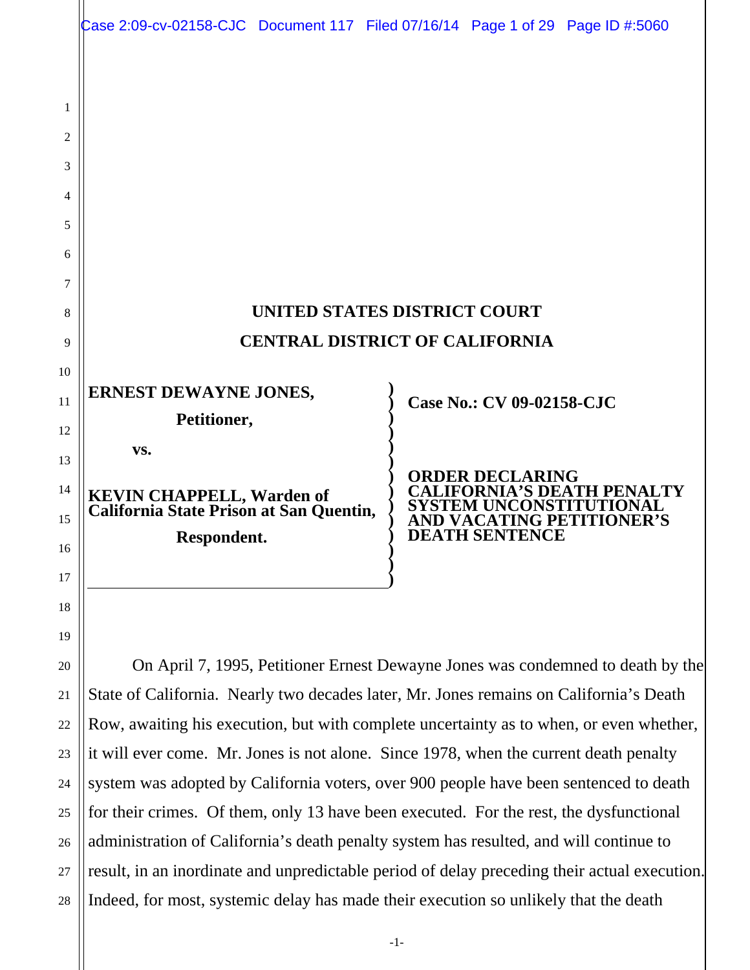|                | Case 2:09-cv-02158-CJC Document 117 Filed 07/16/14 Page 1 of 29 Page ID #:5060               |                                                                 |  |
|----------------|----------------------------------------------------------------------------------------------|-----------------------------------------------------------------|--|
|                |                                                                                              |                                                                 |  |
|                |                                                                                              |                                                                 |  |
| 1              |                                                                                              |                                                                 |  |
| $\overline{2}$ |                                                                                              |                                                                 |  |
| 3<br>4         |                                                                                              |                                                                 |  |
| 5              |                                                                                              |                                                                 |  |
| 6              |                                                                                              |                                                                 |  |
| 7              |                                                                                              |                                                                 |  |
| 8              | UNITED STATES DISTRICT COURT                                                                 |                                                                 |  |
| 9              | <b>CENTRAL DISTRICT OF CALIFORNIA</b>                                                        |                                                                 |  |
| 10             |                                                                                              |                                                                 |  |
| 11             | <b>ERNEST DEWAYNE JONES,</b><br>Petitioner,                                                  | Case No.: CV 09-02158-CJC                                       |  |
| 12             |                                                                                              |                                                                 |  |
| 13             | VS.                                                                                          |                                                                 |  |
| 14             | <b>KEVIN CHAPPELL, Warden of<br/>California State Prison at San Quentin,</b><br>Respondent.  | <b>ORDER DECLARING</b><br>ING PETITIONER'S<br><b>H SENTENCE</b> |  |
| 15             |                                                                                              |                                                                 |  |
| 16             |                                                                                              |                                                                 |  |
| 17<br>18       |                                                                                              |                                                                 |  |
| 19             |                                                                                              |                                                                 |  |
| 20             | On April 7, 1995, Petitioner Ernest Dewayne Jones was condemned to death by the              |                                                                 |  |
| 21             | State of California. Nearly two decades later, Mr. Jones remains on California's Death       |                                                                 |  |
| 22             | Row, awaiting his execution, but with complete uncertainty as to when, or even whether,      |                                                                 |  |
| 23             | it will ever come. Mr. Jones is not alone. Since 1978, when the current death penalty        |                                                                 |  |
| 24             | system was adopted by California voters, over 900 people have been sentenced to death        |                                                                 |  |
| 25             | for their crimes. Of them, only 13 have been executed. For the rest, the dysfunctional       |                                                                 |  |
| 26             | administration of California's death penalty system has resulted, and will continue to       |                                                                 |  |
| 27             | result, in an inordinate and unpredictable period of delay preceding their actual execution. |                                                                 |  |
| 28             | Indeed, for most, systemic delay has made their execution so unlikely that the death         |                                                                 |  |

-1-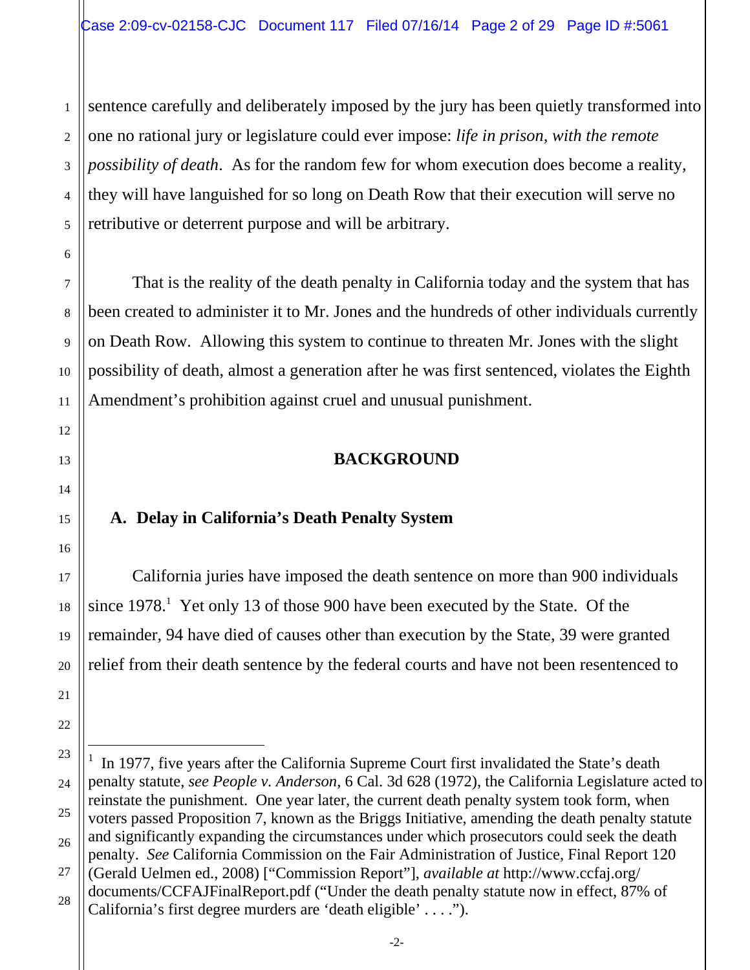2 sentence carefully and deliberately imposed by the jury has been quietly transformed into one no rational jury or legislature could ever impose: *life in prison, with the remote possibility of death*. As for the random few for whom execution does become a reality, they will have languished for so long on Death Row that their execution will serve no retributive or deterrent purpose and will be arbitrary.

That is the reality of the death penalty in California today and the system that has been created to administer it to Mr. Jones and the hundreds of other individuals currently on Death Row. Allowing this system to continue to threaten Mr. Jones with the slight possibility of death, almost a generation after he was first sentenced, violates the Eighth Amendment's prohibition against cruel and unusual punishment.

## **BACKGROUND**

# **A. Delay in California's Death Penalty System**

California juries have imposed the death sentence on more than 900 individuals since  $1978<sup>1</sup>$  Yet only 13 of those 900 have been executed by the State. Of the remainder, 94 have died of causes other than execution by the State, 39 were granted relief from their death sentence by the federal courts and have not been resentenced to

 $\overline{a}$ 

<sup>1</sup> In 1977, five years after the California Supreme Court first invalidated the State's death penalty statute, *see People v. Anderson*, 6 Cal. 3d 628 (1972), the California Legislature acted to reinstate the punishment. One year later, the current death penalty system took form, when voters passed Proposition 7, known as the Briggs Initiative, amending the death penalty statute and significantly expanding the circumstances under which prosecutors could seek the death penalty. *See* California Commission on the Fair Administration of Justice, Final Report 120 (Gerald Uelmen ed., 2008) ["Commission Report"], *available at* http://www.ccfaj.org/ documents/CCFAJFinalReport.pdf ("Under the death penalty statute now in effect, 87% of California's first degree murders are 'death eligible' . . . .").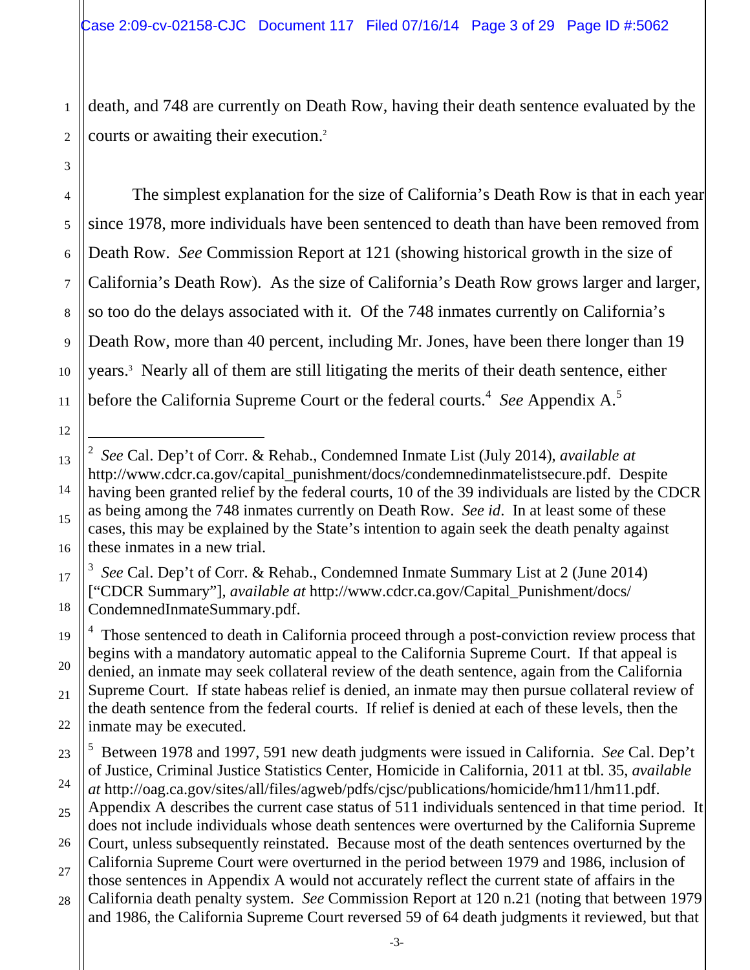death, and 748 are currently on Death Row, having their death sentence evaluated by the courts or awaiting their execution.<sup>2</sup>

The simplest explanation for the size of California's Death Row is that in each year since 1978, more individuals have been sentenced to death than have been removed from Death Row. *See* Commission Report at 121 (showing historical growth in the size of California's Death Row). As the size of California's Death Row grows larger and larger, so too do the delays associated with it. Of the 748 inmates currently on California's Death Row, more than 40 percent, including Mr. Jones, have been there longer than 19 years.3 Nearly all of them are still litigating the merits of their death sentence, either before the California Supreme Court or the federal courts.<sup>4</sup> See Appendix A.<sup>5</sup>

3 *See* Cal. Dep't of Corr. & Rehab., Condemned Inmate Summary List at 2 (June 2014) ["CDCR Summary"], *available at* http://www.cdcr.ca.gov/Capital\_Punishment/docs/ CondemnedInmateSummary.pdf.

<sup>4</sup> Those sentenced to death in California proceed through a post-conviction review process that begins with a mandatory automatic appeal to the California Supreme Court. If that appeal is denied, an inmate may seek collateral review of the death sentence, again from the California Supreme Court. If state habeas relief is denied, an inmate may then pursue collateral review of the death sentence from the federal courts. If relief is denied at each of these levels, then the inmate may be executed.

 $\overline{a}$ 

<sup>2</sup> *See* Cal. Dep't of Corr. & Rehab., Condemned Inmate List (July 2014), *available at*  http://www.cdcr.ca.gov/capital\_punishment/docs/condemnedinmatelistsecure.pdf. Despite having been granted relief by the federal courts, 10 of the 39 individuals are listed by the CDCR as being among the 748 inmates currently on Death Row. *See id*. In at least some of these cases, this may be explained by the State's intention to again seek the death penalty against these inmates in a new trial.

<sup>5</sup> Between 1978 and 1997, 591 new death judgments were issued in California. *See* Cal. Dep't of Justice, Criminal Justice Statistics Center, Homicide in California, 2011 at tbl. 35, *available* 

*at* http://oag.ca.gov/sites/all/files/agweb/pdfs/cjsc/publications/homicide/hm11/hm11.pdf. Appendix A describes the current case status of 511 individuals sentenced in that time period. It

does not include individuals whose death sentences were overturned by the California Supreme

Court, unless subsequently reinstated. Because most of the death sentences overturned by the California Supreme Court were overturned in the period between 1979 and 1986, inclusion of

<sup>28</sup> those sentences in Appendix A would not accurately reflect the current state of affairs in the California death penalty system. *See* Commission Report at 120 n.21 (noting that between 1979 and 1986, the California Supreme Court reversed 59 of 64 death judgments it reviewed, but that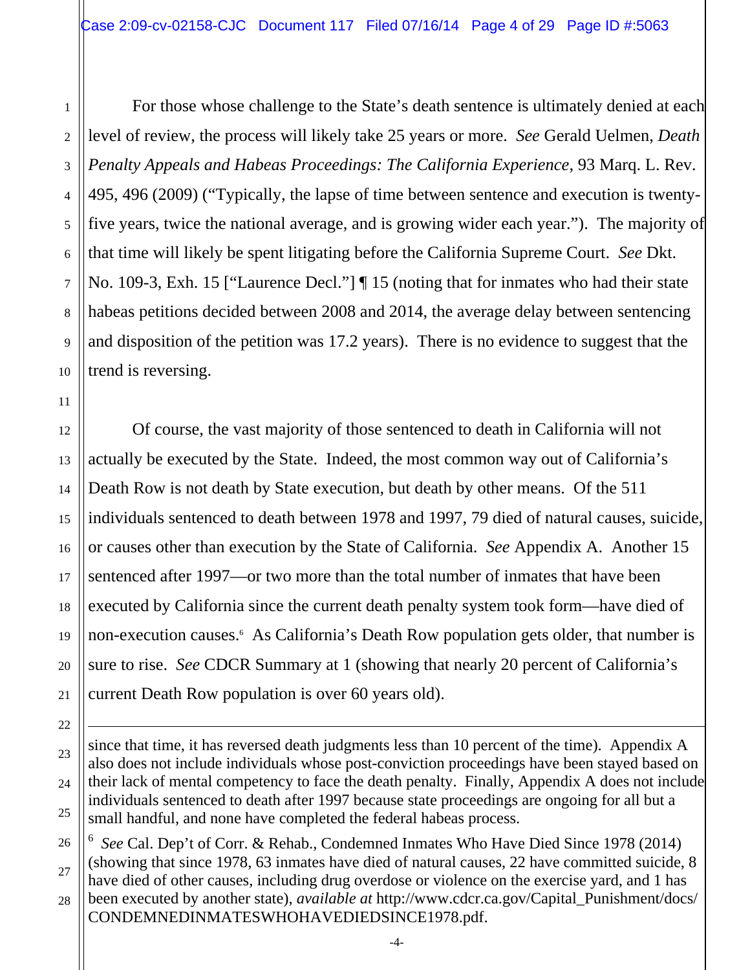For those whose challenge to the State's death sentence is ultimately denied at each level of review, the process will likely take 25 years or more. *See* Gerald Uelmen, *Death Penalty Appeals and Habeas Proceedings: The California Experience*, 93 Marq. L. Rev. 495, 496 (2009) ("Typically, the lapse of time between sentence and execution is twentyfive years, twice the national average, and is growing wider each year."). The majority of that time will likely be spent litigating before the California Supreme Court. *See* Dkt. No. 109-3, Exh. 15 ["Laurence Decl."] ¶ 15 (noting that for inmates who had their state habeas petitions decided between 2008 and 2014, the average delay between sentencing and disposition of the petition was 17.2 years). There is no evidence to suggest that the trend is reversing.

Of course, the vast majority of those sentenced to death in California will not actually be executed by the State. Indeed, the most common way out of California's Death Row is not death by State execution, but death by other means. Of the 511 individuals sentenced to death between 1978 and 1997, 79 died of natural causes, suicide, or causes other than execution by the State of California. *See* Appendix A. Another 15 sentenced after 1997—or two more than the total number of inmates that have been executed by California since the current death penalty system took form—have died of non-execution causes.6 As California's Death Row population gets older, that number is sure to rise. *See* CDCR Summary at 1 (showing that nearly 20 percent of California's current Death Row population is over 60 years old).

 $\overline{a}$ 

1

2

3

4

5

6

-4-

since that time, it has reversed death judgments less than 10 percent of the time). Appendix A also does not include individuals whose post-conviction proceedings have been stayed based on their lack of mental competency to face the death penalty. Finally, Appendix A does not include individuals sentenced to death after 1997 because state proceedings are ongoing for all but a small handful, and none have completed the federal habeas process.

<sup>6</sup> *See* Cal. Dep't of Corr. & Rehab., Condemned Inmates Who Have Died Since 1978 (2014) (showing that since 1978, 63 inmates have died of natural causes, 22 have committed suicide, 8 have died of other causes, including drug overdose or violence on the exercise yard, and 1 has been executed by another state), *available at* http://www.cdcr.ca.gov/Capital\_Punishment/docs/ CONDEMNEDINMATESWHOHAVEDIEDSINCE1978.pdf.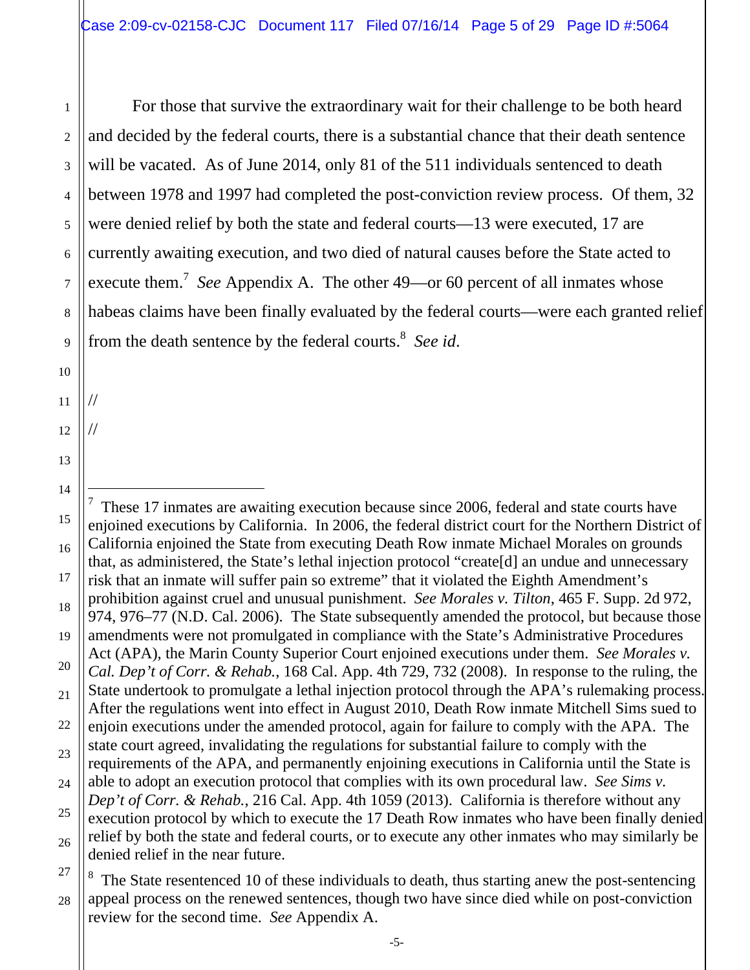For those that survive the extraordinary wait for their challenge to be both heard and decided by the federal courts, there is a substantial chance that their death sentence will be vacated. As of June 2014, only 81 of the 511 individuals sentenced to death between 1978 and 1997 had completed the post-conviction review process. Of them, 32 were denied relief by both the state and federal courts—13 were executed, 17 are currently awaiting execution, and two died of natural causes before the State acted to execute them.<sup>7</sup> See Appendix A. The other 49—or 60 percent of all inmates whose habeas claims have been finally evaluated by the federal courts—were each granted relief from the death sentence by the federal courts.<sup>8</sup> *See id*.

1

2

3

4

5

6

7

//

//

 $\overline{a}$ 

<sup>26</sup> 27 7 These 17 inmates are awaiting execution because since 2006, federal and state courts have enjoined executions by California. In 2006, the federal district court for the Northern District of California enjoined the State from executing Death Row inmate Michael Morales on grounds that, as administered, the State's lethal injection protocol "create[d] an undue and unnecessary risk that an inmate will suffer pain so extreme" that it violated the Eighth Amendment's prohibition against cruel and unusual punishment. *See Morales v. Tilton*, 465 F. Supp. 2d 972, 974, 976–77 (N.D. Cal. 2006). The State subsequently amended the protocol, but because those amendments were not promulgated in compliance with the State's Administrative Procedures Act (APA), the Marin County Superior Court enjoined executions under them. *See Morales v. Cal. Dep't of Corr. & Rehab.*, 168 Cal. App. 4th 729, 732 (2008). In response to the ruling, the State undertook to promulgate a lethal injection protocol through the APA's rulemaking process. After the regulations went into effect in August 2010, Death Row inmate Mitchell Sims sued to enjoin executions under the amended protocol, again for failure to comply with the APA. The state court agreed, invalidating the regulations for substantial failure to comply with the requirements of the APA, and permanently enjoining executions in California until the State is able to adopt an execution protocol that complies with its own procedural law. *See Sims v. Dep't of Corr. & Rehab.*, 216 Cal. App. 4th 1059 (2013). California is therefore without any execution protocol by which to execute the 17 Death Row inmates who have been finally denied relief by both the state and federal courts, or to execute any other inmates who may similarly be denied relief in the near future.  $8\text{ The State resembled 10 of these individuals to death, thus starting anew the post-sentencing.}$ 

<sup>28</sup> appeal process on the renewed sentences, though two have since died while on post-conviction review for the second time. *See* Appendix A.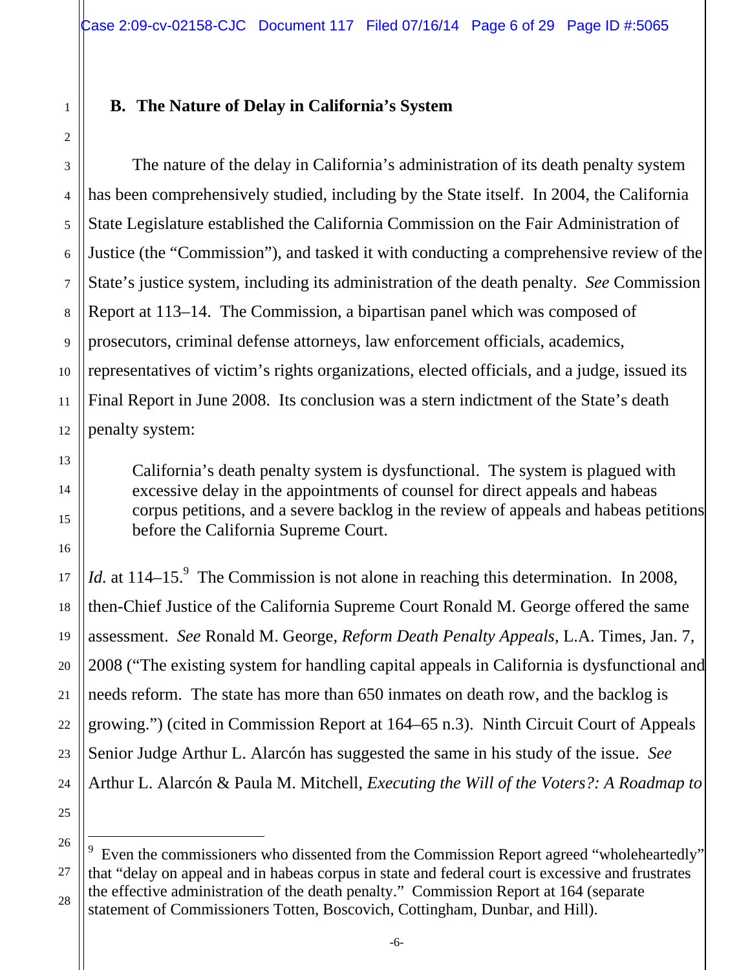## **B. The Nature of Delay in California's System**

The nature of the delay in California's administration of its death penalty system has been comprehensively studied, including by the State itself. In 2004, the California State Legislature established the California Commission on the Fair Administration of Justice (the "Commission"), and tasked it with conducting a comprehensive review of the State's justice system, including its administration of the death penalty. *See* Commission Report at 113–14. The Commission, a bipartisan panel which was composed of prosecutors, criminal defense attorneys, law enforcement officials, academics, representatives of victim's rights organizations, elected officials, and a judge, issued its Final Report in June 2008. Its conclusion was a stern indictment of the State's death penalty system:

California's death penalty system is dysfunctional. The system is plagued with excessive delay in the appointments of counsel for direct appeals and habeas corpus petitions, and a severe backlog in the review of appeals and habeas petitions before the California Supreme Court.

18 *Id.* at  $114-15$ <sup>9</sup>. The Commission is not alone in reaching this determination. In 2008, then-Chief Justice of the California Supreme Court Ronald M. George offered the same assessment. *See* Ronald M. George, *Reform Death Penalty Appeals*, L.A. Times, Jan. 7, 2008 ("The existing system for handling capital appeals in California is dysfunctional and needs reform. The state has more than 650 inmates on death row, and the backlog is growing.") (cited in Commission Report at 164–65 n.3). Ninth Circuit Court of Appeals Senior Judge Arthur L. Alarcón has suggested the same in his study of the issue. *See*  Arthur L. Alarcón & Paula M. Mitchell, *Executing the Will of the Voters?: A Roadmap to* 

25 26

 $\overline{a}$ 

1

2

3

4

5

6

7

8

9

10

11

12

13

14

15

16

<sup>9</sup> Even the commissioners who dissented from the Commission Report agreed "wholeheartedly" that "delay on appeal and in habeas corpus in state and federal court is excessive and frustrates the effective administration of the death penalty." Commission Report at 164 (separate statement of Commissioners Totten, Boscovich, Cottingham, Dunbar, and Hill).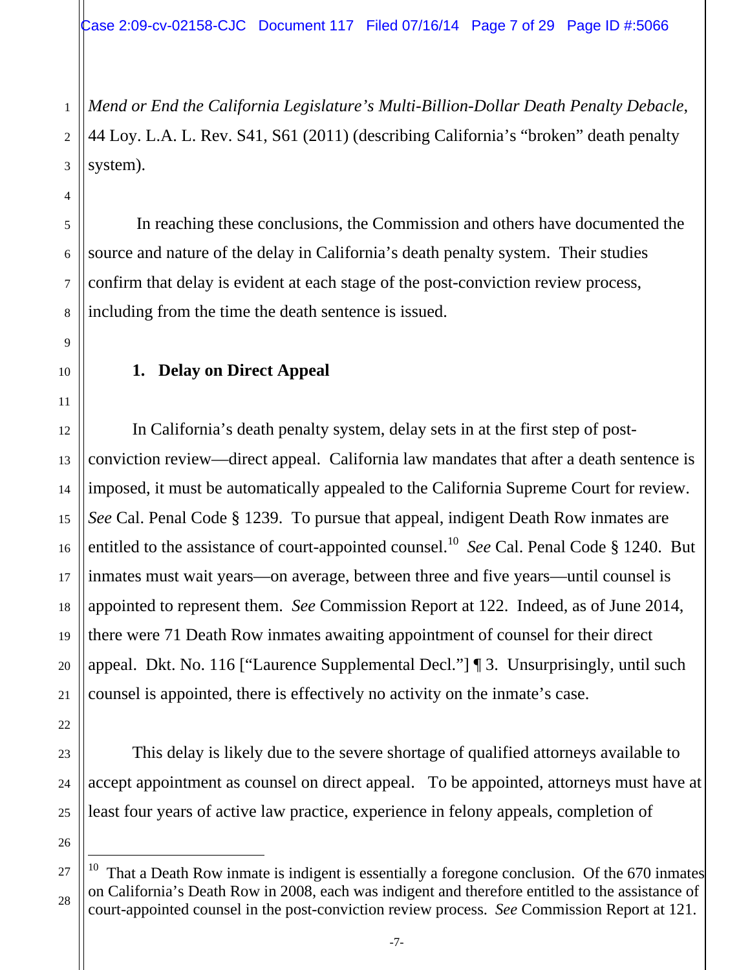*Mend or End the California Legislature's Multi-Billion-Dollar Death Penalty Debacle*, 44 Loy. L.A. L. Rev. S41, S61 (2011) (describing California's "broken" death penalty system).

 In reaching these conclusions, the Commission and others have documented the source and nature of the delay in California's death penalty system. Their studies confirm that delay is evident at each stage of the post-conviction review process, including from the time the death sentence is issued.

### **1. Delay on Direct Appeal**

In California's death penalty system, delay sets in at the first step of postconviction review—direct appeal. California law mandates that after a death sentence is imposed, it must be automatically appealed to the California Supreme Court for review. *See* Cal. Penal Code § 1239. To pursue that appeal, indigent Death Row inmates are entitled to the assistance of court-appointed counsel.<sup>10</sup> *See* Cal. Penal Code § 1240. But inmates must wait years—on average, between three and five years—until counsel is appointed to represent them. *See* Commission Report at 122. Indeed, as of June 2014, there were 71 Death Row inmates awaiting appointment of counsel for their direct appeal. Dkt. No. 116 ["Laurence Supplemental Decl."] ¶ 3. Unsurprisingly, until such counsel is appointed, there is effectively no activity on the inmate's case.

This delay is likely due to the severe shortage of qualified attorneys available to accept appointment as counsel on direct appeal. To be appointed, attorneys must have at least four years of active law practice, experience in felony appeals, completion of

 $\overline{a}$ 

<sup>&</sup>lt;sup>10</sup> That a Death Row inmate is indigent is essentially a foregone conclusion. Of the 670 inmates on California's Death Row in 2008, each was indigent and therefore entitled to the assistance of court-appointed counsel in the post-conviction review process. *See* Commission Report at 121.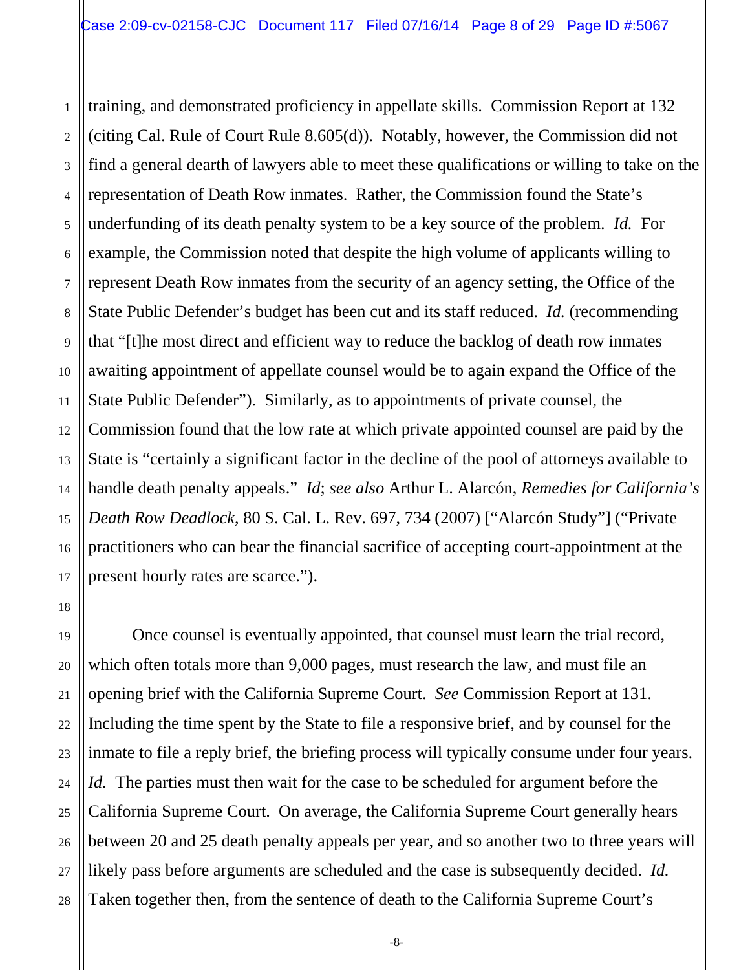1 2 3 4 5 6 7 8 9 10 11 12 13 14 15 16 17 training, and demonstrated proficiency in appellate skills. Commission Report at 132 (citing Cal. Rule of Court Rule 8.605(d)). Notably, however, the Commission did not find a general dearth of lawyers able to meet these qualifications or willing to take on the representation of Death Row inmates. Rather, the Commission found the State's underfunding of its death penalty system to be a key source of the problem. *Id.* For example, the Commission noted that despite the high volume of applicants willing to represent Death Row inmates from the security of an agency setting, the Office of the State Public Defender's budget has been cut and its staff reduced. *Id.* (recommending that "[t]he most direct and efficient way to reduce the backlog of death row inmates awaiting appointment of appellate counsel would be to again expand the Office of the State Public Defender"). Similarly, as to appointments of private counsel, the Commission found that the low rate at which private appointed counsel are paid by the State is "certainly a significant factor in the decline of the pool of attorneys available to handle death penalty appeals." *Id*; *see also* Arthur L. Alarcón, *Remedies for California's Death Row Deadlock*, 80 S. Cal. L. Rev. 697, 734 (2007) ["Alarcón Study"] ("Private practitioners who can bear the financial sacrifice of accepting court-appointment at the present hourly rates are scarce.").

19 22 25 26 28 Once counsel is eventually appointed, that counsel must learn the trial record, which often totals more than 9,000 pages, must research the law, and must file an opening brief with the California Supreme Court. *See* Commission Report at 131. Including the time spent by the State to file a responsive brief, and by counsel for the inmate to file a reply brief, the briefing process will typically consume under four years. *Id.* The parties must then wait for the case to be scheduled for argument before the California Supreme Court. On average, the California Supreme Court generally hears between 20 and 25 death penalty appeals per year, and so another two to three years will likely pass before arguments are scheduled and the case is subsequently decided. *Id.*  Taken together then, from the sentence of death to the California Supreme Court's

18

20

21

23

24

27

-8-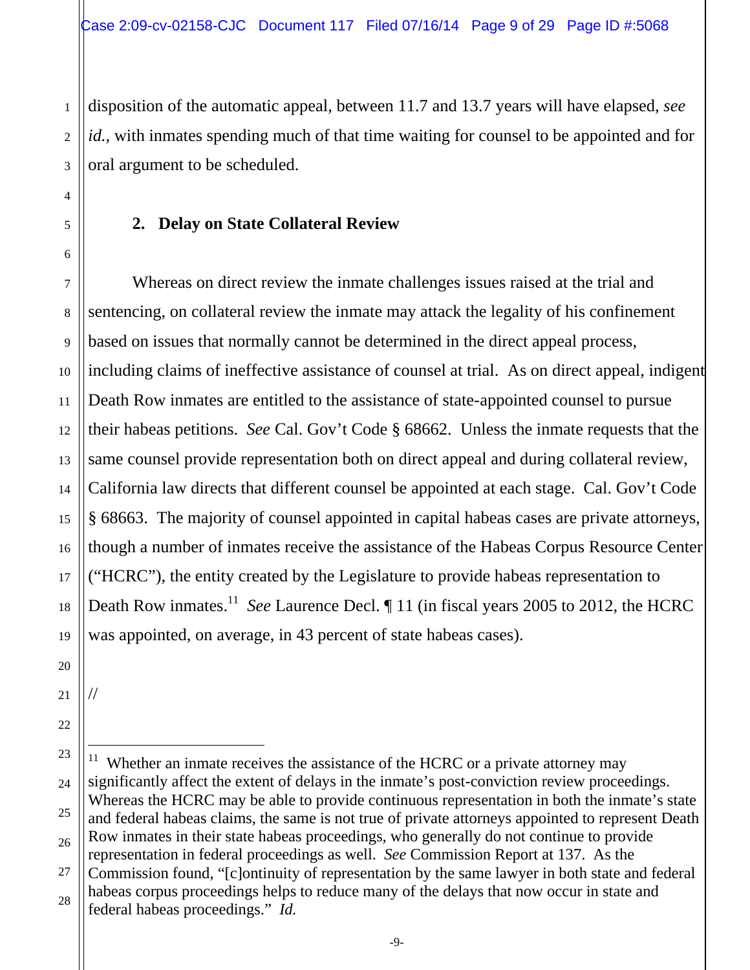disposition of the automatic appeal, between 11.7 and 13.7 years will have elapsed, *see id.*, with inmates spending much of that time waiting for counsel to be appointed and for oral argument to be scheduled.

## **2. Delay on State Collateral Review**

Whereas on direct review the inmate challenges issues raised at the trial and sentencing, on collateral review the inmate may attack the legality of his confinement based on issues that normally cannot be determined in the direct appeal process, including claims of ineffective assistance of counsel at trial. As on direct appeal, indigent Death Row inmates are entitled to the assistance of state-appointed counsel to pursue their habeas petitions. *See* Cal. Gov't Code § 68662. Unless the inmate requests that the same counsel provide representation both on direct appeal and during collateral review, California law directs that different counsel be appointed at each stage. Cal. Gov't Code § 68663. The majority of counsel appointed in capital habeas cases are private attorneys, though a number of inmates receive the assistance of the Habeas Corpus Resource Center ("HCRC"), the entity created by the Legislature to provide habeas representation to Death Row inmates.11 *See* Laurence Decl. ¶ 11 (in fiscal years 2005 to 2012, the HCRC was appointed, on average, in 43 percent of state habeas cases).

//

 $\overline{a}$ Whether an inmate receives the assistance of the HCRC or a private attorney may significantly affect the extent of delays in the inmate's post-conviction review proceedings. Whereas the HCRC may be able to provide continuous representation in both the inmate's state and federal habeas claims, the same is not true of private attorneys appointed to represent Death Row inmates in their state habeas proceedings, who generally do not continue to provide representation in federal proceedings as well. *See* Commission Report at 137. As the Commission found, "[c]ontinuity of representation by the same lawyer in both state and federal habeas corpus proceedings helps to reduce many of the delays that now occur in state and federal habeas proceedings." *Id.*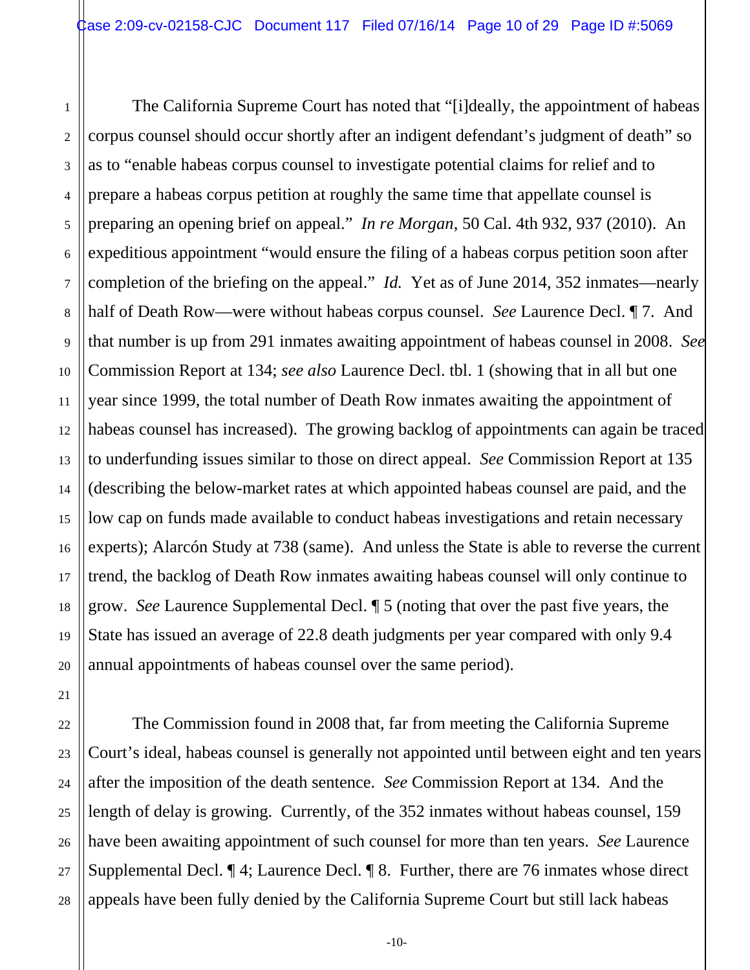1 2 3 4 5 6 7 8 9 10 11 12 13 14 15 16 17 18 19 20 The California Supreme Court has noted that "[i]deally, the appointment of habeas corpus counsel should occur shortly after an indigent defendant's judgment of death" so as to "enable habeas corpus counsel to investigate potential claims for relief and to prepare a habeas corpus petition at roughly the same time that appellate counsel is preparing an opening brief on appeal." *In re Morgan*, 50 Cal. 4th 932, 937 (2010). An expeditious appointment "would ensure the filing of a habeas corpus petition soon after completion of the briefing on the appeal." *Id.* Yet as of June 2014, 352 inmates—nearly half of Death Row—were without habeas corpus counsel. *See* Laurence Decl. ¶ 7. And that number is up from 291 inmates awaiting appointment of habeas counsel in 2008. *See*  Commission Report at 134; *see also* Laurence Decl. tbl. 1 (showing that in all but one year since 1999, the total number of Death Row inmates awaiting the appointment of habeas counsel has increased). The growing backlog of appointments can again be traced to underfunding issues similar to those on direct appeal. *See* Commission Report at 135 (describing the below-market rates at which appointed habeas counsel are paid, and the low cap on funds made available to conduct habeas investigations and retain necessary experts); Alarcón Study at 738 (same). And unless the State is able to reverse the current trend, the backlog of Death Row inmates awaiting habeas counsel will only continue to grow. *See* Laurence Supplemental Decl. ¶ 5 (noting that over the past five years, the State has issued an average of 22.8 death judgments per year compared with only 9.4 annual appointments of habeas counsel over the same period).

22 23 24 25 26 27 28 The Commission found in 2008 that, far from meeting the California Supreme Court's ideal, habeas counsel is generally not appointed until between eight and ten years after the imposition of the death sentence. *See* Commission Report at 134. And the length of delay is growing. Currently, of the 352 inmates without habeas counsel, 159 have been awaiting appointment of such counsel for more than ten years. *See* Laurence Supplemental Decl. ¶ 4; Laurence Decl. ¶ 8. Further, there are 76 inmates whose direct appeals have been fully denied by the California Supreme Court but still lack habeas

21

-10-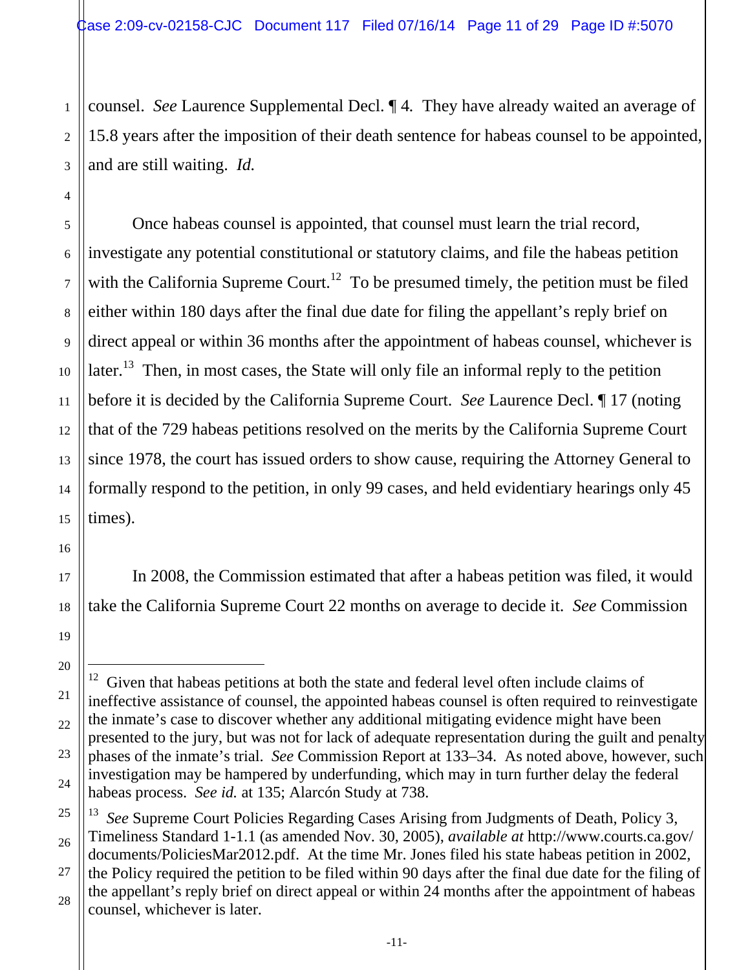counsel. *See* Laurence Supplemental Decl. ¶ 4*.* They have already waited an average of 15.8 years after the imposition of their death sentence for habeas counsel to be appointed, and are still waiting. *Id.* 

Once habeas counsel is appointed, that counsel must learn the trial record, investigate any potential constitutional or statutory claims, and file the habeas petition with the California Supreme Court.<sup>12</sup> To be presumed timely, the petition must be filed either within 180 days after the final due date for filing the appellant's reply brief on direct appeal or within 36 months after the appointment of habeas counsel, whichever is later.<sup>13</sup> Then, in most cases, the State will only file an informal reply to the petition before it is decided by the California Supreme Court. *See* Laurence Decl. ¶ 17 (noting that of the 729 habeas petitions resolved on the merits by the California Supreme Court since 1978, the court has issued orders to show cause, requiring the Attorney General to formally respond to the petition, in only 99 cases, and held evidentiary hearings only 45 times).

 In 2008, the Commission estimated that after a habeas petition was filed, it would take the California Supreme Court 22 months on average to decide it. *See* Commission

 $\overline{a}$ 

 $12$  Given that habeas petitions at both the state and federal level often include claims of ineffective assistance of counsel, the appointed habeas counsel is often required to reinvestigate the inmate's case to discover whether any additional mitigating evidence might have been presented to the jury, but was not for lack of adequate representation during the guilt and penalty phases of the inmate's trial. *See* Commission Report at 133–34. As noted above, however, such investigation may be hampered by underfunding, which may in turn further delay the federal habeas process. *See id.* at 135; Alarcón Study at 738.

<sup>13</sup> *See* Supreme Court Policies Regarding Cases Arising from Judgments of Death, Policy 3, Timeliness Standard 1-1.1 (as amended Nov. 30, 2005), *available at* http://www.courts.ca.gov/ documents/PoliciesMar2012.pdf. At the time Mr. Jones filed his state habeas petition in 2002, the Policy required the petition to be filed within 90 days after the final due date for the filing of the appellant's reply brief on direct appeal or within 24 months after the appointment of habeas counsel, whichever is later.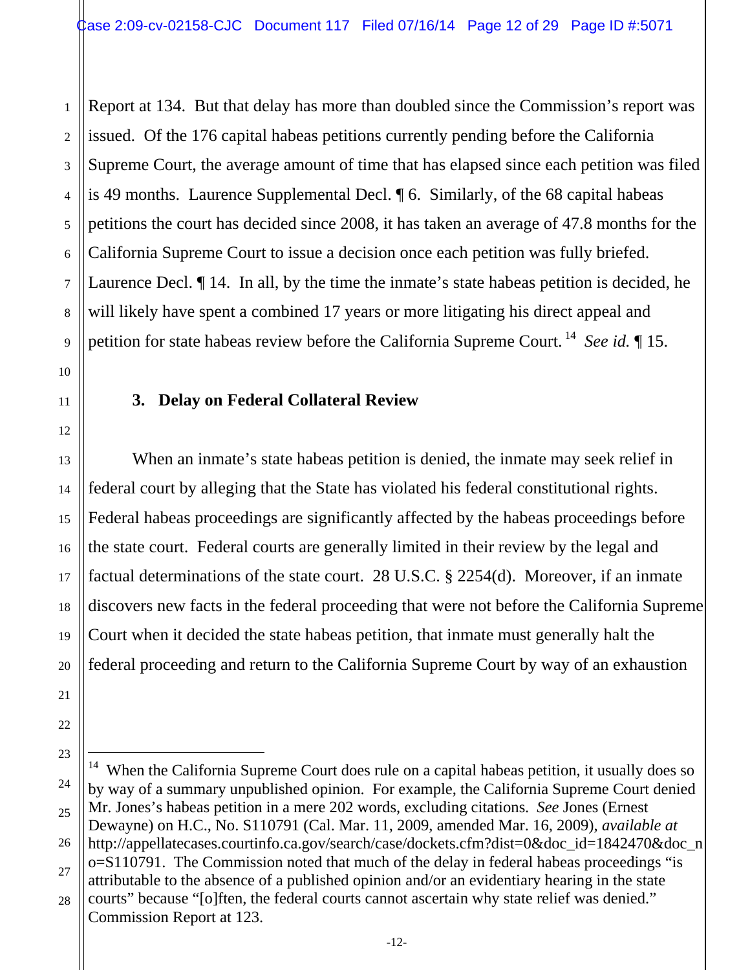Report at 134. But that delay has more than doubled since the Commission's report was issued. Of the 176 capital habeas petitions currently pending before the California Supreme Court, the average amount of time that has elapsed since each petition was filed is 49 months. Laurence Supplemental Decl. ¶ 6. Similarly, of the 68 capital habeas petitions the court has decided since 2008, it has taken an average of 47.8 months for the California Supreme Court to issue a decision once each petition was fully briefed. Laurence Decl. ¶ 14. In all, by the time the inmate's state habeas petition is decided, he will likely have spent a combined 17 years or more litigating his direct appeal and petition for state habeas review before the California Supreme Court. 14 *See id.* ¶ 15.

# **3. Delay on Federal Collateral Review**

When an inmate's state habeas petition is denied, the inmate may seek relief in federal court by alleging that the State has violated his federal constitutional rights. Federal habeas proceedings are significantly affected by the habeas proceedings before the state court. Federal courts are generally limited in their review by the legal and factual determinations of the state court. 28 U.S.C. § 2254(d). Moreover, if an inmate discovers new facts in the federal proceeding that were not before the California Supreme Court when it decided the state habeas petition, that inmate must generally halt the federal proceeding and return to the California Supreme Court by way of an exhaustion

1

 $\overline{a}$ <sup>14</sup> When the California Supreme Court does rule on a capital habeas petition, it usually does so by way of a summary unpublished opinion. For example, the California Supreme Court denied Mr. Jones's habeas petition in a mere 202 words, excluding citations. *See* Jones (Ernest Dewayne) on H.C., No. S110791 (Cal. Mar. 11, 2009, amended Mar. 16, 2009), *available at*  http://appellatecases.courtinfo.ca.gov/search/case/dockets.cfm?dist=0&doc\_id=1842470&doc\_n o=S110791. The Commission noted that much of the delay in federal habeas proceedings "is attributable to the absence of a published opinion and/or an evidentiary hearing in the state courts" because "[o]ften, the federal courts cannot ascertain why state relief was denied." Commission Report at 123.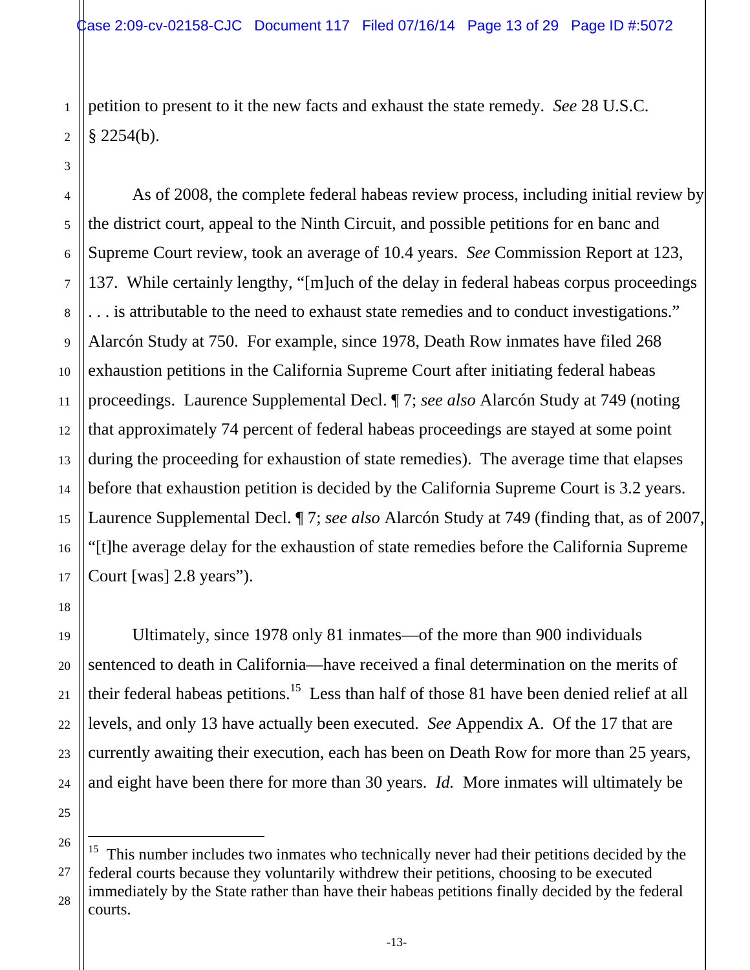1 2 petition to present to it the new facts and exhaust the state remedy. *See* 28 U.S.C.  $§$  2254(b).

3

4

5

6

7

8

9

10

11

12

13

14

15

16

17

18

19

20

21

22

23

24

25

As of 2008, the complete federal habeas review process, including initial review by the district court, appeal to the Ninth Circuit, and possible petitions for en banc and Supreme Court review, took an average of 10.4 years. *See* Commission Report at 123, 137. While certainly lengthy, "[m]uch of the delay in federal habeas corpus proceedings . . . is attributable to the need to exhaust state remedies and to conduct investigations." Alarcón Study at 750. For example, since 1978, Death Row inmates have filed 268 exhaustion petitions in the California Supreme Court after initiating federal habeas proceedings. Laurence Supplemental Decl. ¶ 7; *see also* Alarcón Study at 749 (noting that approximately 74 percent of federal habeas proceedings are stayed at some point during the proceeding for exhaustion of state remedies). The average time that elapses before that exhaustion petition is decided by the California Supreme Court is 3.2 years. Laurence Supplemental Decl. ¶ 7; *see also* Alarcón Study at 749 (finding that, as of 2007, "[t]he average delay for the exhaustion of state remedies before the California Supreme Court [was] 2.8 years").

Ultimately, since 1978 only 81 inmates—of the more than 900 individuals sentenced to death in California—have received a final determination on the merits of their federal habeas petitions.<sup>15</sup> Less than half of those 81 have been denied relief at all levels, and only 13 have actually been executed. *See* Appendix A. Of the 17 that are currently awaiting their execution, each has been on Death Row for more than 25 years, and eight have been there for more than 30 years. *Id.* More inmates will ultimately be

26 27 28  $\overline{a}$ <sup>15</sup> This number includes two inmates who technically never had their petitions decided by the federal courts because they voluntarily withdrew their petitions, choosing to be executed immediately by the State rather than have their habeas petitions finally decided by the federal courts.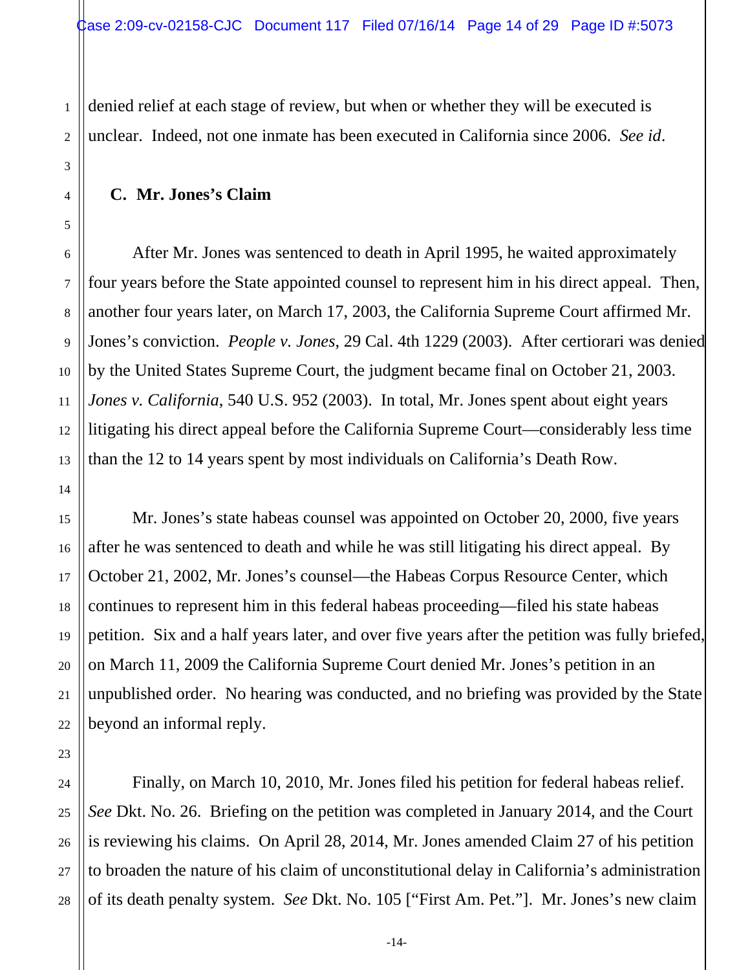denied relief at each stage of review, but when or whether they will be executed is unclear. Indeed, not one inmate has been executed in California since 2006. *See id*.

### **C. Mr. Jones's Claim**

After Mr. Jones was sentenced to death in April 1995, he waited approximately four years before the State appointed counsel to represent him in his direct appeal. Then, another four years later, on March 17, 2003, the California Supreme Court affirmed Mr. Jones's conviction. *People v. Jones*, 29 Cal. 4th 1229 (2003). After certiorari was denied by the United States Supreme Court, the judgment became final on October 21, 2003. *Jones v. California*, 540 U.S. 952 (2003). In total, Mr. Jones spent about eight years litigating his direct appeal before the California Supreme Court—considerably less time than the 12 to 14 years spent by most individuals on California's Death Row.

Mr. Jones's state habeas counsel was appointed on October 20, 2000, five years after he was sentenced to death and while he was still litigating his direct appeal. By October 21, 2002, Mr. Jones's counsel—the Habeas Corpus Resource Center, which continues to represent him in this federal habeas proceeding—filed his state habeas petition. Six and a half years later, and over five years after the petition was fully briefed, on March 11, 2009 the California Supreme Court denied Mr. Jones's petition in an unpublished order. No hearing was conducted, and no briefing was provided by the State beyond an informal reply.

Finally, on March 10, 2010, Mr. Jones filed his petition for federal habeas relief. *See* Dkt. No. 26. Briefing on the petition was completed in January 2014, and the Court is reviewing his claims. On April 28, 2014, Mr. Jones amended Claim 27 of his petition to broaden the nature of his claim of unconstitutional delay in California's administration of its death penalty system. *See* Dkt. No. 105 ["First Am. Pet."]. Mr. Jones's new claim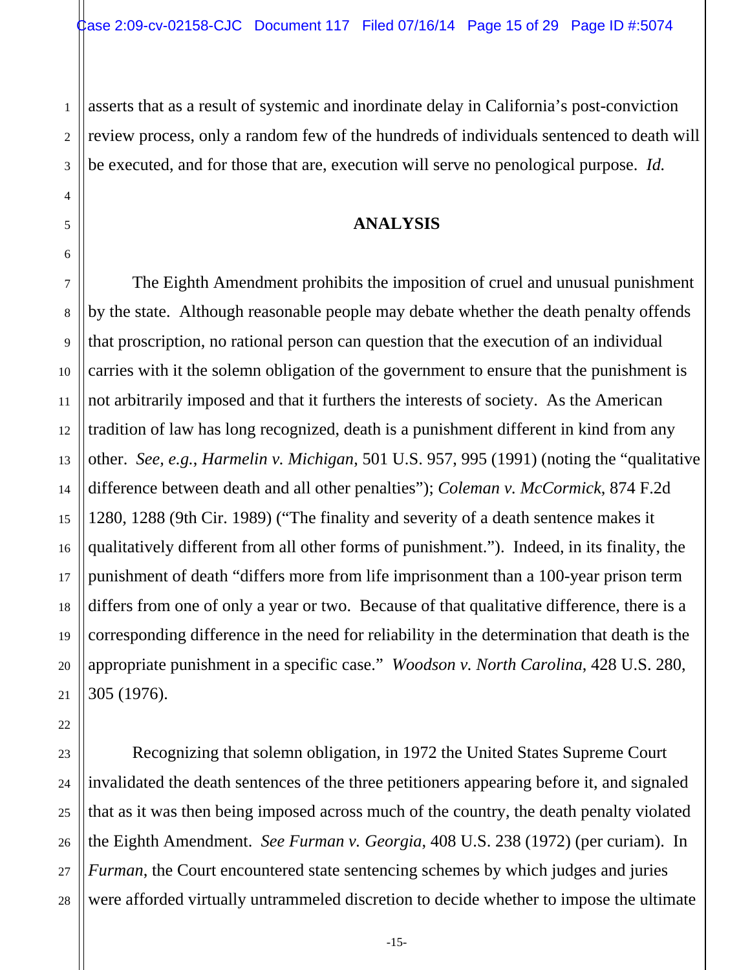asserts that as a result of systemic and inordinate delay in California's post-conviction review process, only a random few of the hundreds of individuals sentenced to death will be executed, and for those that are, execution will serve no penological purpose. *Id.*

#### **ANALYSIS**

The Eighth Amendment prohibits the imposition of cruel and unusual punishment by the state. Although reasonable people may debate whether the death penalty offends that proscription, no rational person can question that the execution of an individual carries with it the solemn obligation of the government to ensure that the punishment is not arbitrarily imposed and that it furthers the interests of society. As the American tradition of law has long recognized, death is a punishment different in kind from any other. *See, e.g.*, *Harmelin v. Michigan*, 501 U.S. 957, 995 (1991) (noting the "qualitative difference between death and all other penalties"); *Coleman v. McCormick*, 874 F.2d 1280, 1288 (9th Cir. 1989) ("The finality and severity of a death sentence makes it qualitatively different from all other forms of punishment."). Indeed, in its finality, the punishment of death "differs more from life imprisonment than a 100-year prison term differs from one of only a year or two. Because of that qualitative difference, there is a corresponding difference in the need for reliability in the determination that death is the appropriate punishment in a specific case." *Woodson v. North Carolina*, 428 U.S. 280, 305 (1976).

Recognizing that solemn obligation, in 1972 the United States Supreme Court invalidated the death sentences of the three petitioners appearing before it, and signaled that as it was then being imposed across much of the country, the death penalty violated the Eighth Amendment. *See Furman v. Georgia*, 408 U.S. 238 (1972) (per curiam). In *Furman*, the Court encountered state sentencing schemes by which judges and juries were afforded virtually untrammeled discretion to decide whether to impose the ultimate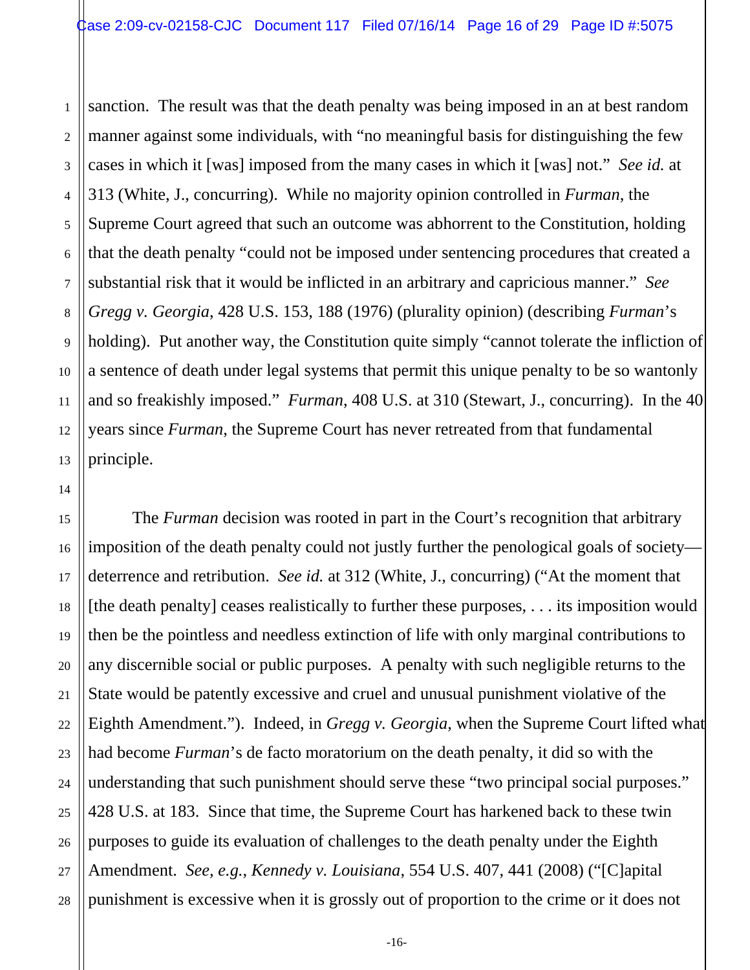1 2 3 4 5 6 7 8 9 10 11 12 13 sanction. The result was that the death penalty was being imposed in an at best random manner against some individuals, with "no meaningful basis for distinguishing the few cases in which it [was] imposed from the many cases in which it [was] not." *See id.* at 313 (White, J., concurring). While no majority opinion controlled in *Furman*, the Supreme Court agreed that such an outcome was abhorrent to the Constitution, holding that the death penalty "could not be imposed under sentencing procedures that created a substantial risk that it would be inflicted in an arbitrary and capricious manner." *See Gregg v. Georgia*, 428 U.S. 153, 188 (1976) (plurality opinion) (describing *Furman*'s holding). Put another way, the Constitution quite simply "cannot tolerate the infliction of a sentence of death under legal systems that permit this unique penalty to be so wantonly and so freakishly imposed." *Furman*, 408 U.S. at 310 (Stewart, J., concurring). In the 40 years since *Furman*, the Supreme Court has never retreated from that fundamental principle.

15 16 17 18 19 20 21 22 23 24 The *Furman* decision was rooted in part in the Court's recognition that arbitrary imposition of the death penalty could not justly further the penological goals of society deterrence and retribution. *See id.* at 312 (White, J., concurring) ("At the moment that [the death penalty] ceases realistically to further these purposes, . . . its imposition would then be the pointless and needless extinction of life with only marginal contributions to any discernible social or public purposes. A penalty with such negligible returns to the State would be patently excessive and cruel and unusual punishment violative of the Eighth Amendment."). Indeed, in *Gregg v. Georgia*, when the Supreme Court lifted what had become *Furman*'s de facto moratorium on the death penalty, it did so with the understanding that such punishment should serve these "two principal social purposes." 428 U.S. at 183. Since that time, the Supreme Court has harkened back to these twin purposes to guide its evaluation of challenges to the death penalty under the Eighth Amendment. *See, e.g.*, *Kennedy v. Louisiana*, 554 U.S. 407, 441 (2008) ("[C]apital punishment is excessive when it is grossly out of proportion to the crime or it does not

14

-16-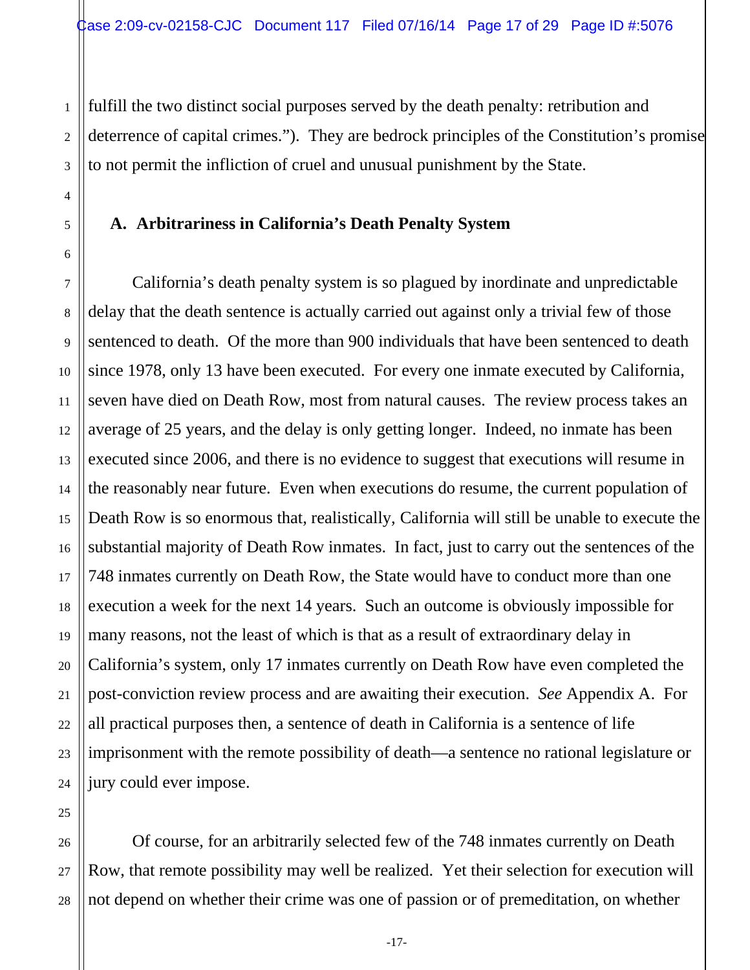fulfill the two distinct social purposes served by the death penalty: retribution and deterrence of capital crimes."). They are bedrock principles of the Constitution's promise to not permit the infliction of cruel and unusual punishment by the State.

## **A. Arbitrariness in California's Death Penalty System**

California's death penalty system is so plagued by inordinate and unpredictable delay that the death sentence is actually carried out against only a trivial few of those sentenced to death. Of the more than 900 individuals that have been sentenced to death since 1978, only 13 have been executed. For every one inmate executed by California, seven have died on Death Row, most from natural causes. The review process takes an average of 25 years, and the delay is only getting longer. Indeed, no inmate has been executed since 2006, and there is no evidence to suggest that executions will resume in the reasonably near future. Even when executions do resume, the current population of Death Row is so enormous that, realistically, California will still be unable to execute the substantial majority of Death Row inmates. In fact, just to carry out the sentences of the 748 inmates currently on Death Row, the State would have to conduct more than one execution a week for the next 14 years. Such an outcome is obviously impossible for many reasons, not the least of which is that as a result of extraordinary delay in California's system, only 17 inmates currently on Death Row have even completed the post-conviction review process and are awaiting their execution. *See* Appendix A. For all practical purposes then, a sentence of death in California is a sentence of life imprisonment with the remote possibility of death—a sentence no rational legislature or jury could ever impose.

Of course, for an arbitrarily selected few of the 748 inmates currently on Death Row, that remote possibility may well be realized. Yet their selection for execution will not depend on whether their crime was one of passion or of premeditation, on whether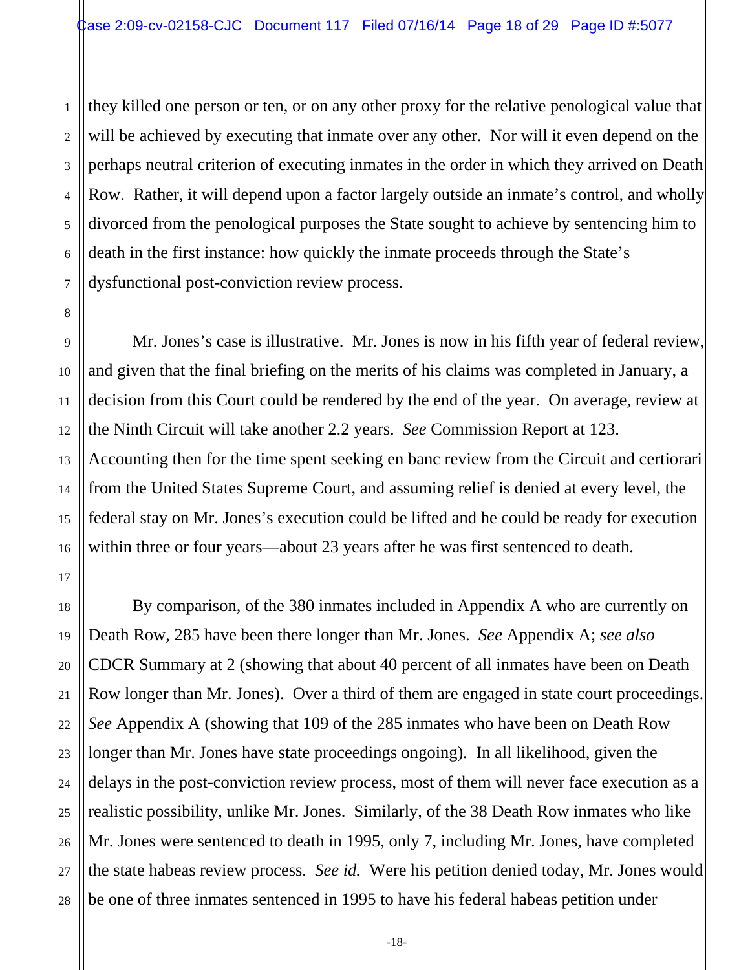4 5 6 they killed one person or ten, or on any other proxy for the relative penological value that will be achieved by executing that inmate over any other. Nor will it even depend on the perhaps neutral criterion of executing inmates in the order in which they arrived on Death Row. Rather, it will depend upon a factor largely outside an inmate's control, and wholly divorced from the penological purposes the State sought to achieve by sentencing him to death in the first instance: how quickly the inmate proceeds through the State's dysfunctional post-conviction review process.

Mr. Jones's case is illustrative. Mr. Jones is now in his fifth year of federal review, and given that the final briefing on the merits of his claims was completed in January, a decision from this Court could be rendered by the end of the year. On average, review at the Ninth Circuit will take another 2.2 years. *See* Commission Report at 123. Accounting then for the time spent seeking en banc review from the Circuit and certiorari from the United States Supreme Court, and assuming relief is denied at every level, the federal stay on Mr. Jones's execution could be lifted and he could be ready for execution within three or four years—about 23 years after he was first sentenced to death.

By comparison, of the 380 inmates included in Appendix A who are currently on Death Row, 285 have been there longer than Mr. Jones. *See* Appendix A; *see also*  CDCR Summary at 2 (showing that about 40 percent of all inmates have been on Death Row longer than Mr. Jones). Over a third of them are engaged in state court proceedings. *See* Appendix A (showing that 109 of the 285 inmates who have been on Death Row longer than Mr. Jones have state proceedings ongoing)*.* In all likelihood, given the delays in the post-conviction review process, most of them will never face execution as a realistic possibility, unlike Mr. Jones. Similarly, of the 38 Death Row inmates who like Mr. Jones were sentenced to death in 1995, only 7, including Mr. Jones, have completed the state habeas review process. *See id.* Were his petition denied today, Mr. Jones would be one of three inmates sentenced in 1995 to have his federal habeas petition under

1

2

3

-18-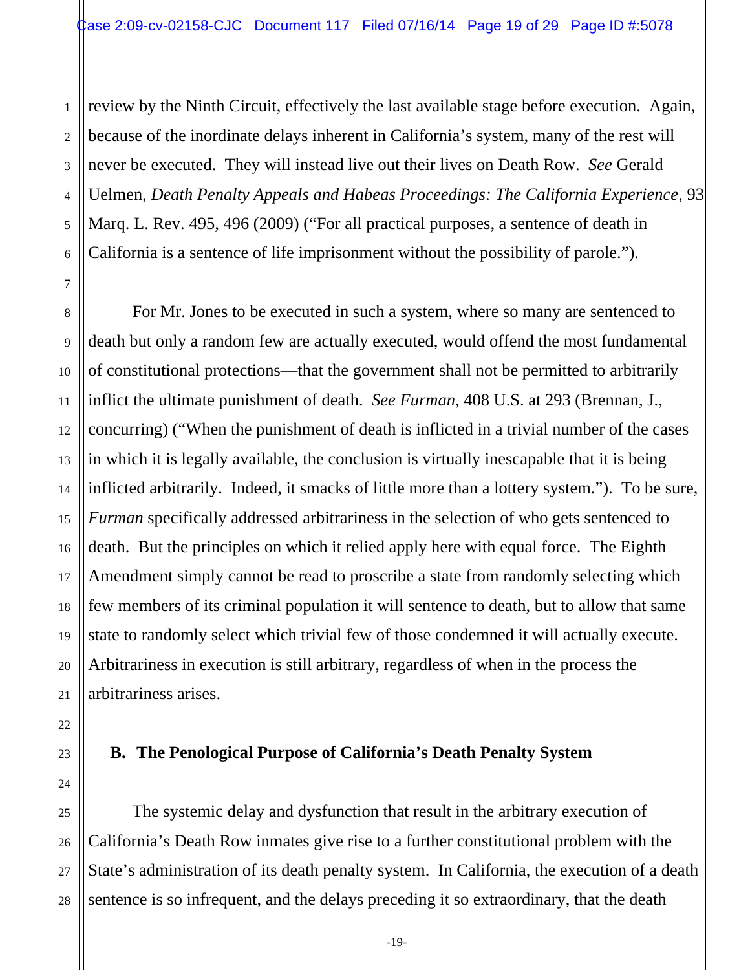review by the Ninth Circuit, effectively the last available stage before execution. Again, because of the inordinate delays inherent in California's system, many of the rest will never be executed. They will instead live out their lives on Death Row. *See* Gerald Uelmen, *Death Penalty Appeals and Habeas Proceedings: The California Experience*, 93 Marq. L. Rev. 495, 496 (2009) ("For all practical purposes, a sentence of death in California is a sentence of life imprisonment without the possibility of parole.").

For Mr. Jones to be executed in such a system, where so many are sentenced to death but only a random few are actually executed, would offend the most fundamental of constitutional protections—that the government shall not be permitted to arbitrarily inflict the ultimate punishment of death. *See Furman*, 408 U.S. at 293 (Brennan, J., concurring) ("When the punishment of death is inflicted in a trivial number of the cases in which it is legally available, the conclusion is virtually inescapable that it is being inflicted arbitrarily. Indeed, it smacks of little more than a lottery system."). To be sure, *Furman* specifically addressed arbitrariness in the selection of who gets sentenced to death. But the principles on which it relied apply here with equal force. The Eighth Amendment simply cannot be read to proscribe a state from randomly selecting which few members of its criminal population it will sentence to death, but to allow that same state to randomly select which trivial few of those condemned it will actually execute. Arbitrariness in execution is still arbitrary, regardless of when in the process the arbitrariness arises.

### **B. The Penological Purpose of California's Death Penalty System**

The systemic delay and dysfunction that result in the arbitrary execution of California's Death Row inmates give rise to a further constitutional problem with the State's administration of its death penalty system. In California, the execution of a death sentence is so infrequent, and the delays preceding it so extraordinary, that the death

1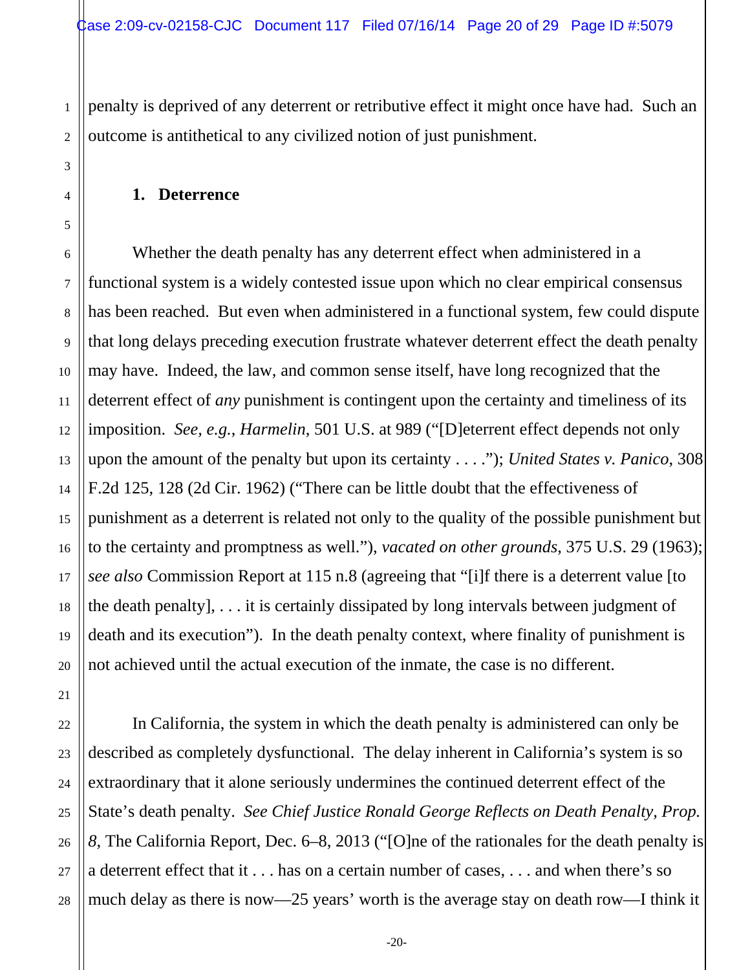penalty is deprived of any deterrent or retributive effect it might once have had. Such an outcome is antithetical to any civilized notion of just punishment.

### **1. Deterrence**

Whether the death penalty has any deterrent effect when administered in a functional system is a widely contested issue upon which no clear empirical consensus has been reached. But even when administered in a functional system, few could dispute that long delays preceding execution frustrate whatever deterrent effect the death penalty may have. Indeed, the law, and common sense itself, have long recognized that the deterrent effect of *any* punishment is contingent upon the certainty and timeliness of its imposition. *See, e.g.*, *Harmelin*, 501 U.S. at 989 ("[D]eterrent effect depends not only upon the amount of the penalty but upon its certainty . . . ."); *United States v. Panico*, 308 F.2d 125, 128 (2d Cir. 1962) ("There can be little doubt that the effectiveness of punishment as a deterrent is related not only to the quality of the possible punishment but to the certainty and promptness as well."), *vacated on other grounds*, 375 U.S. 29 (1963); *see also* Commission Report at 115 n.8 (agreeing that "[i]f there is a deterrent value [to the death penalty], . . . it is certainly dissipated by long intervals between judgment of death and its execution"). In the death penalty context, where finality of punishment is not achieved until the actual execution of the inmate, the case is no different.

In California, the system in which the death penalty is administered can only be described as completely dysfunctional. The delay inherent in California's system is so extraordinary that it alone seriously undermines the continued deterrent effect of the State's death penalty. *See Chief Justice Ronald George Reflects on Death Penalty, Prop. 8*, The California Report, Dec. 6–8, 2013 ("[O]ne of the rationales for the death penalty is a deterrent effect that it . . . has on a certain number of cases, . . . and when there's so much delay as there is now—25 years' worth is the average stay on death row—I think it

1

2

3

4

5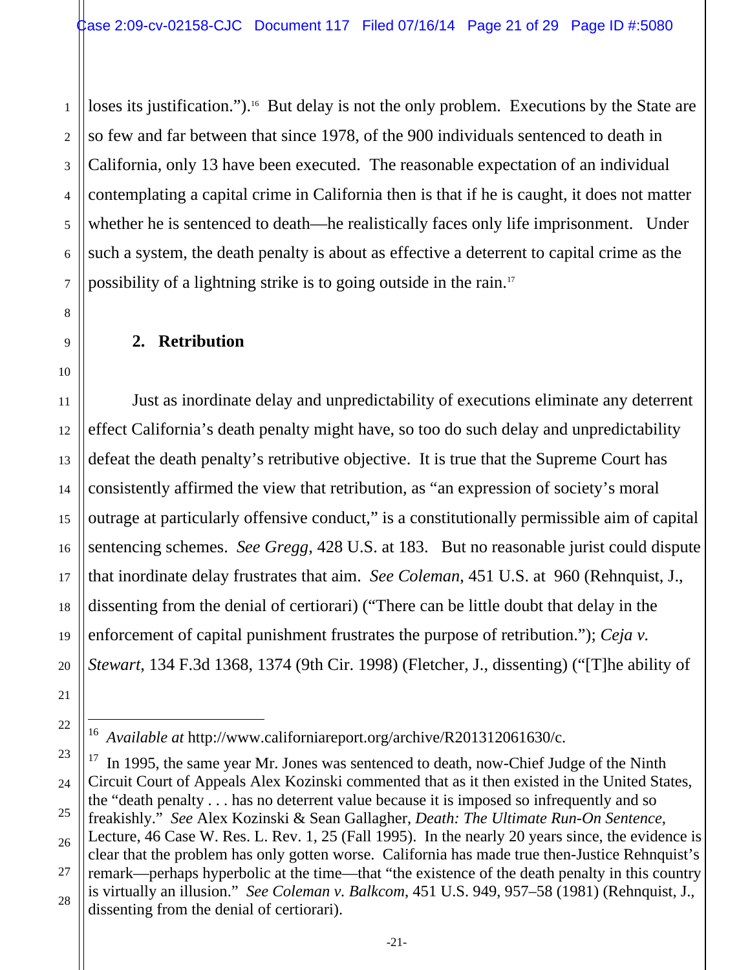4 5 6 loses its justification.").<sup>16</sup> But delay is not the only problem. Executions by the State are so few and far between that since 1978, of the 900 individuals sentenced to death in California, only 13 have been executed. The reasonable expectation of an individual contemplating a capital crime in California then is that if he is caught, it does not matter whether he is sentenced to death—he realistically faces only life imprisonment. Under such a system, the death penalty is about as effective a deterrent to capital crime as the possibility of a lightning strike is to going outside in the rain.17

### **2. Retribution**

 Just as inordinate delay and unpredictability of executions eliminate any deterrent effect California's death penalty might have, so too do such delay and unpredictability defeat the death penalty's retributive objective. It is true that the Supreme Court has consistently affirmed the view that retribution, as "an expression of society's moral outrage at particularly offensive conduct," is a constitutionally permissible aim of capital sentencing schemes. *See Gregg*, 428 U.S. at 183. But no reasonable jurist could dispute that inordinate delay frustrates that aim. *See Coleman*, 451 U.S. at 960 (Rehnquist, J., dissenting from the denial of certiorari) ("There can be little doubt that delay in the enforcement of capital punishment frustrates the purpose of retribution."); *Ceja v. Stewart*, 134 F.3d 1368, 1374 (9th Cir. 1998) (Fletcher, J., dissenting) ("[T]he ability of

 $\overline{a}$ 

1

2

3

7

8

9

10

11

12

13

14

15

16

17

18

19

<sup>21</sup> 22

<sup>16</sup> *Available at* http://www.californiareport.org/archive/R201312061630/c.

<sup>23</sup> 24 25 26 27 28  $17$  In 1995, the same year Mr. Jones was sentenced to death, now-Chief Judge of the Ninth Circuit Court of Appeals Alex Kozinski commented that as it then existed in the United States, the "death penalty . . . has no deterrent value because it is imposed so infrequently and so freakishly." *See* Alex Kozinski & Sean Gallagher, *Death: The Ultimate Run-On Sentence*, Lecture, 46 Case W. Res. L. Rev. 1, 25 (Fall 1995). In the nearly 20 years since, the evidence is clear that the problem has only gotten worse. California has made true then-Justice Rehnquist's remark—perhaps hyperbolic at the time—that "the existence of the death penalty in this country is virtually an illusion." *See Coleman v. Balkcom*, 451 U.S. 949, 957–58 (1981) (Rehnquist, J., dissenting from the denial of certiorari).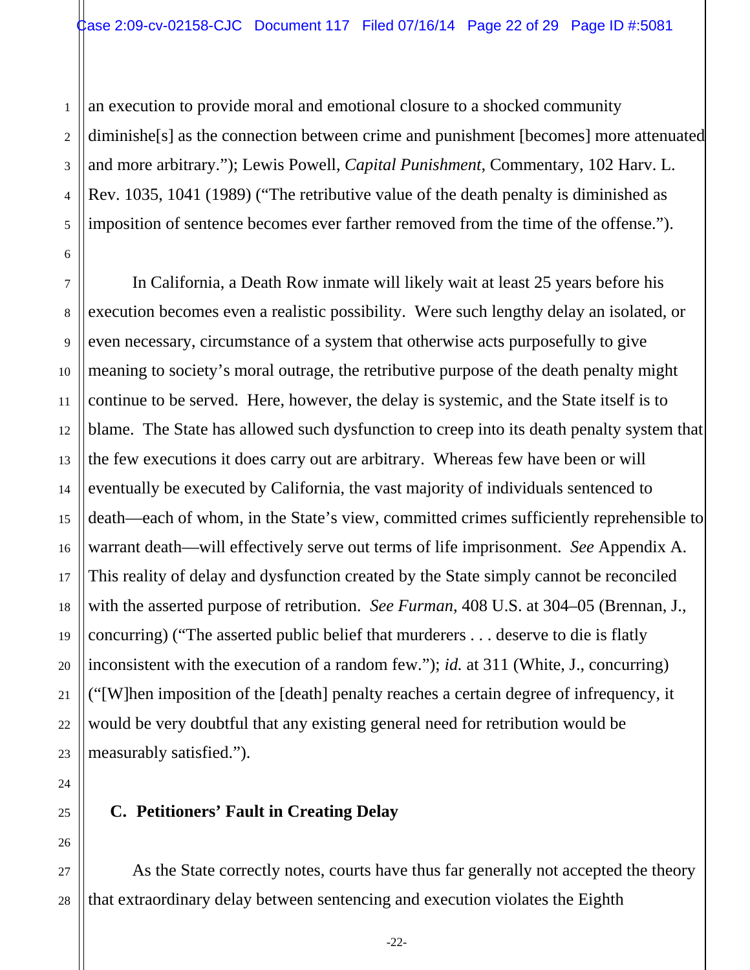1 2 3 4 5 an execution to provide moral and emotional closure to a shocked community diminishe[s] as the connection between crime and punishment [becomes] more attenuated and more arbitrary."); Lewis Powell, *Capital Punishment*, Commentary, 102 Harv. L. Rev. 1035, 1041 (1989) ("The retributive value of the death penalty is diminished as imposition of sentence becomes ever farther removed from the time of the offense.").

7 12 13 14 15 16 18 22 In California, a Death Row inmate will likely wait at least 25 years before his execution becomes even a realistic possibility. Were such lengthy delay an isolated, or even necessary, circumstance of a system that otherwise acts purposefully to give meaning to society's moral outrage, the retributive purpose of the death penalty might continue to be served. Here, however, the delay is systemic, and the State itself is to blame. The State has allowed such dysfunction to creep into its death penalty system that the few executions it does carry out are arbitrary. Whereas few have been or will eventually be executed by California, the vast majority of individuals sentenced to death—each of whom, in the State's view, committed crimes sufficiently reprehensible to warrant death—will effectively serve out terms of life imprisonment. *See* Appendix A. This reality of delay and dysfunction created by the State simply cannot be reconciled with the asserted purpose of retribution. *See Furman*, 408 U.S. at 304–05 (Brennan, J., concurring) ("The asserted public belief that murderers . . . deserve to die is flatly inconsistent with the execution of a random few."); *id.* at 311 (White, J., concurring) ("[W]hen imposition of the [death] penalty reaches a certain degree of infrequency, it would be very doubtful that any existing general need for retribution would be measurably satisfied.").

### **C. Petitioners' Fault in Creating Delay**

6

8

9

10

11

17

19

20

21

23

24

25

26

27

28

As the State correctly notes, courts have thus far generally not accepted the theory that extraordinary delay between sentencing and execution violates the Eighth

-22-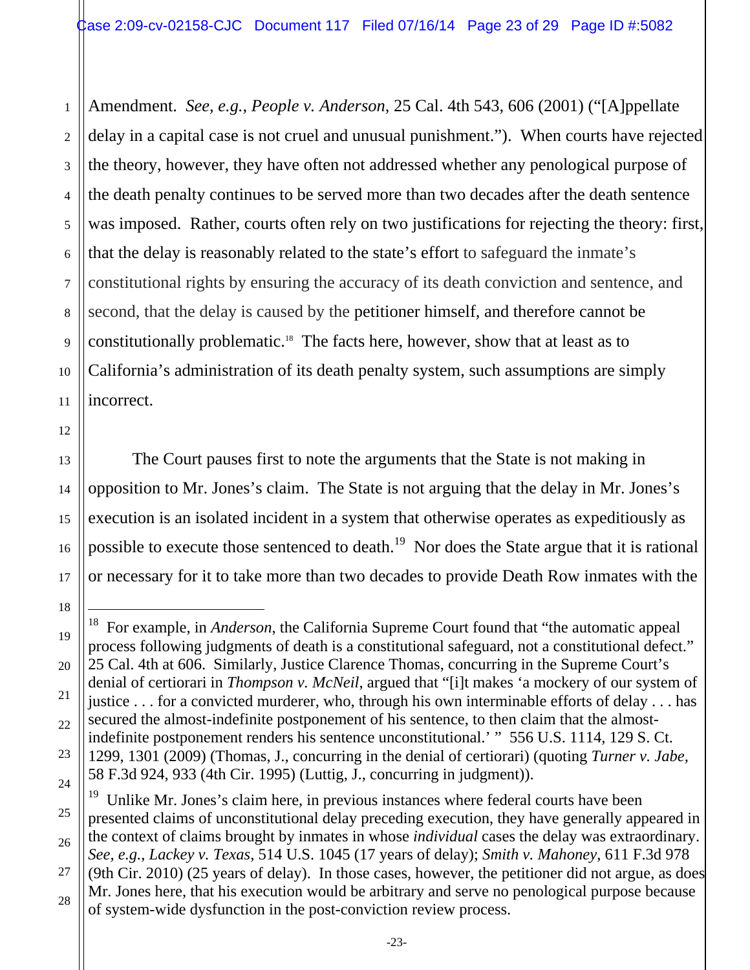1 2 3 4 5 Amendment. *See, e.g.*, *People v. Anderson*, 25 Cal. 4th 543, 606 (2001) ("[A]ppellate delay in a capital case is not cruel and unusual punishment."). When courts have rejected the theory, however, they have often not addressed whether any penological purpose of the death penalty continues to be served more than two decades after the death sentence was imposed. Rather, courts often rely on two justifications for rejecting the theory: first, that the delay is reasonably related to the state's effort to safeguard the inmate's constitutional rights by ensuring the accuracy of its death conviction and sentence, and second, that the delay is caused by the petitioner himself, and therefore cannot be constitutionally problematic.18 The facts here, however, show that at least as to California's administration of its death penalty system, such assumptions are simply incorrect.

The Court pauses first to note the arguments that the State is not making in opposition to Mr. Jones's claim. The State is not arguing that the delay in Mr. Jones's execution is an isolated incident in a system that otherwise operates as expeditiously as possible to execute those sentenced to death.<sup>19</sup> Nor does the State argue that it is rational or necessary for it to take more than two decades to provide Death Row inmates with the

 $\overline{a}$ 18 For example, in *Anderson*, the California Supreme Court found that "the automatic appeal process following judgments of death is a constitutional safeguard, not a constitutional defect." 25 Cal. 4th at 606. Similarly, Justice Clarence Thomas, concurring in the Supreme Court's denial of certiorari in *Thompson v. McNeil*, argued that "[i]t makes 'a mockery of our system of justice . . . for a convicted murderer, who, through his own interminable efforts of delay . . . has secured the almost-indefinite postponement of his sentence, to then claim that the almostindefinite postponement renders his sentence unconstitutional.' " 556 U.S. 1114, 129 S. Ct. 1299, 1301 (2009) (Thomas, J., concurring in the denial of certiorari) (quoting *Turner v. Jabe*, 58 F.3d 924, 933 (4th Cir. 1995) (Luttig, J., concurring in judgment)).

Unlike Mr. Jones's claim here, in previous instances where federal courts have been presented claims of unconstitutional delay preceding execution, they have generally appeared in the context of claims brought by inmates in whose *individual* cases the delay was extraordinary. *See, e.g.*, *Lackey v. Texas*, 514 U.S. 1045 (17 years of delay); *Smith v. Mahoney*, 611 F.3d 978 (9th Cir. 2010) (25 years of delay). In those cases, however, the petitioner did not argue, as does Mr. Jones here, that his execution would be arbitrary and serve no penological purpose because of system-wide dysfunction in the post-conviction review process.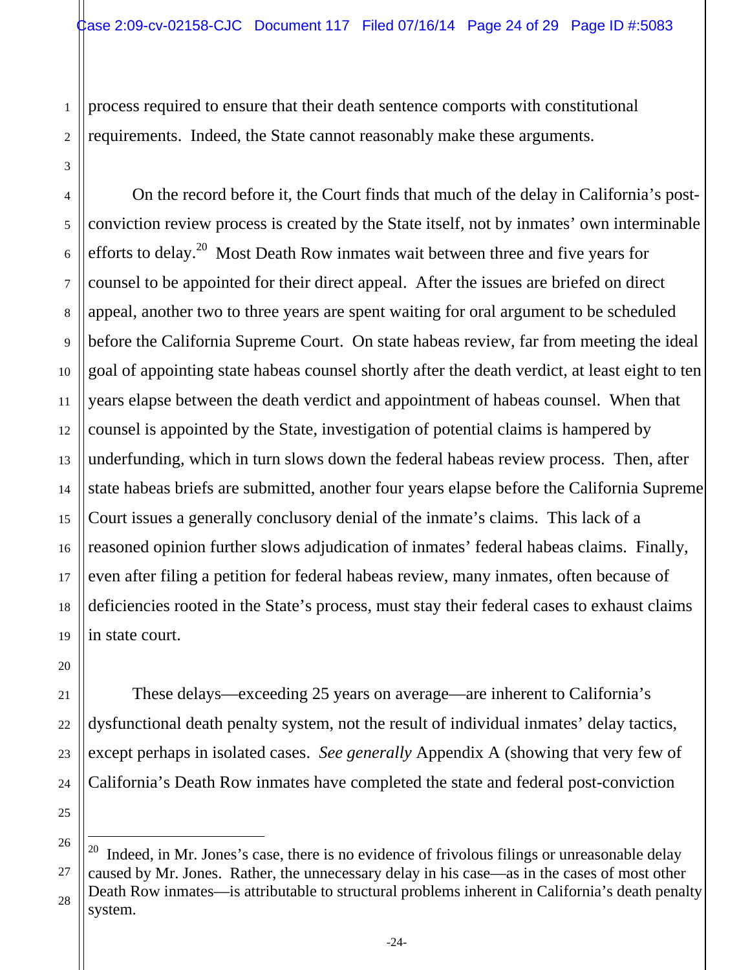process required to ensure that their death sentence comports with constitutional requirements. Indeed, the State cannot reasonably make these arguments.

1

2

3

20

21

22

23

24

25

26

 $\overline{a}$ 

27

28

4 5 6 7 8 9 10 11 12 13 14 15 16 17 18 19 On the record before it, the Court finds that much of the delay in California's postconviction review process is created by the State itself, not by inmates' own interminable efforts to delay.20 Most Death Row inmates wait between three and five years for counsel to be appointed for their direct appeal. After the issues are briefed on direct appeal, another two to three years are spent waiting for oral argument to be scheduled before the California Supreme Court. On state habeas review, far from meeting the ideal goal of appointing state habeas counsel shortly after the death verdict, at least eight to ten years elapse between the death verdict and appointment of habeas counsel. When that counsel is appointed by the State, investigation of potential claims is hampered by underfunding, which in turn slows down the federal habeas review process. Then, after state habeas briefs are submitted, another four years elapse before the California Supreme Court issues a generally conclusory denial of the inmate's claims. This lack of a reasoned opinion further slows adjudication of inmates' federal habeas claims. Finally, even after filing a petition for federal habeas review, many inmates, often because of deficiencies rooted in the State's process, must stay their federal cases to exhaust claims in state court.

These delays—exceeding 25 years on average—are inherent to California's dysfunctional death penalty system, not the result of individual inmates' delay tactics, except perhaps in isolated cases. *See generally* Appendix A (showing that very few of California's Death Row inmates have completed the state and federal post-conviction

Indeed, in Mr. Jones's case, there is no evidence of frivolous filings or unreasonable delay caused by Mr. Jones. Rather, the unnecessary delay in his case—as in the cases of most other Death Row inmates—is attributable to structural problems inherent in California's death penalty system.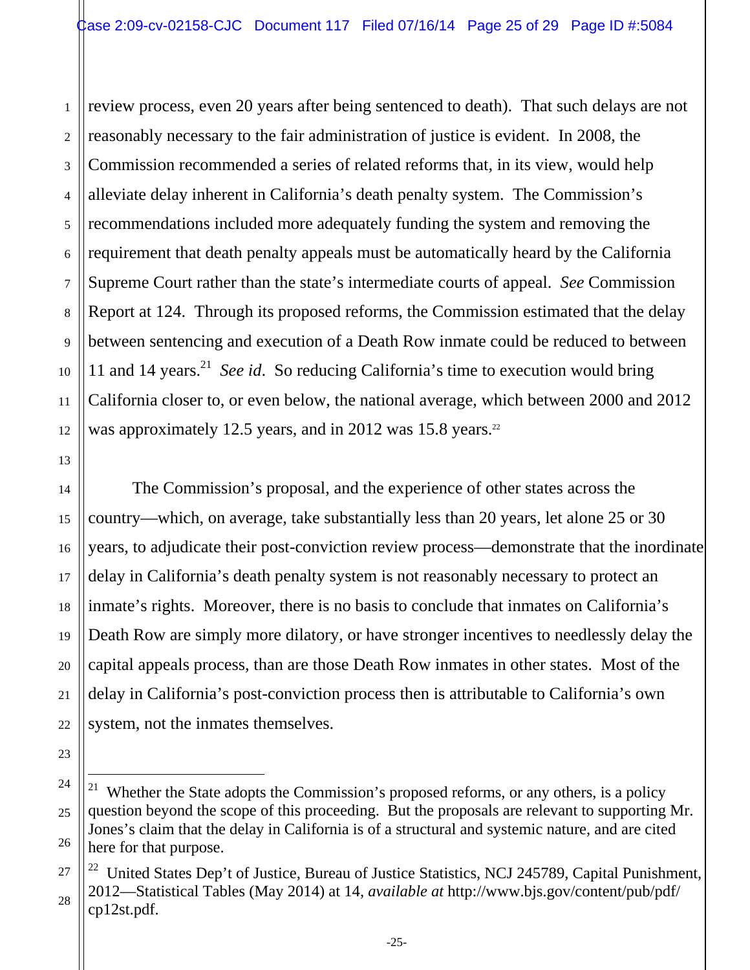1 2 3 4 5 6 7 8 9 10 11 12 review process, even 20 years after being sentenced to death). That such delays are not reasonably necessary to the fair administration of justice is evident. In 2008, the Commission recommended a series of related reforms that, in its view, would help alleviate delay inherent in California's death penalty system. The Commission's recommendations included more adequately funding the system and removing the requirement that death penalty appeals must be automatically heard by the California Supreme Court rather than the state's intermediate courts of appeal. *See* Commission Report at 124. Through its proposed reforms, the Commission estimated that the delay between sentencing and execution of a Death Row inmate could be reduced to between 11 and 14 years.21 *See id*. So reducing California's time to execution would bring California closer to, or even below, the national average, which between 2000 and 2012 was approximately 12.5 years, and in 2012 was 15.8 years.<sup>22</sup>

The Commission's proposal, and the experience of other states across the country—which, on average, take substantially less than 20 years, let alone 25 or 30 years, to adjudicate their post-conviction review process—demonstrate that the inordinate delay in California's death penalty system is not reasonably necessary to protect an inmate's rights. Moreover, there is no basis to conclude that inmates on California's Death Row are simply more dilatory, or have stronger incentives to needlessly delay the capital appeals process, than are those Death Row inmates in other states. Most of the delay in California's post-conviction process then is attributable to California's own system, not the inmates themselves.

13

14

15

16

17

18

19

20

21

22

23

 $\overline{a}$ 

<sup>24</sup> 25 26 Whether the State adopts the Commission's proposed reforms, or any others, is a policy question beyond the scope of this proceeding. But the proposals are relevant to supporting Mr. Jones's claim that the delay in California is of a structural and systemic nature, and are cited here for that purpose.

<sup>27</sup> 28 <sup>22</sup> United States Dep't of Justice, Bureau of Justice Statistics, NCJ 245789, Capital Punishment, 2012—Statistical Tables (May 2014) at 14, *available at* http://www.bjs.gov/content/pub/pdf/ cp12st.pdf.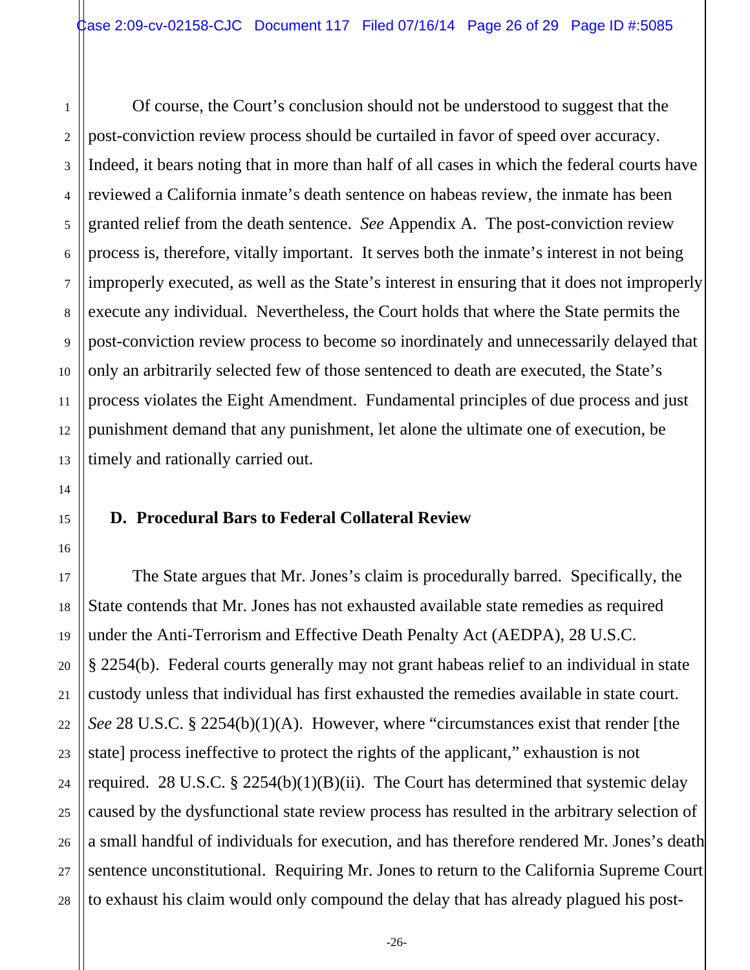1 2 3 Of course, the Court's conclusion should not be understood to suggest that the post-conviction review process should be curtailed in favor of speed over accuracy. Indeed, it bears noting that in more than half of all cases in which the federal courts have reviewed a California inmate's death sentence on habeas review, the inmate has been granted relief from the death sentence. *See* Appendix A. The post-conviction review process is, therefore, vitally important. It serves both the inmate's interest in not being improperly executed, as well as the State's interest in ensuring that it does not improperly execute any individual. Nevertheless, the Court holds that where the State permits the post-conviction review process to become so inordinately and unnecessarily delayed that only an arbitrarily selected few of those sentenced to death are executed, the State's process violates the Eight Amendment. Fundamental principles of due process and just punishment demand that any punishment, let alone the ultimate one of execution, be timely and rationally carried out.

# **D. Procedural Bars to Federal Collateral Review**

The State argues that Mr. Jones's claim is procedurally barred. Specifically, the State contends that Mr. Jones has not exhausted available state remedies as required under the Anti-Terrorism and Effective Death Penalty Act (AEDPA), 28 U.S.C. § 2254(b). Federal courts generally may not grant habeas relief to an individual in state custody unless that individual has first exhausted the remedies available in state court. *See* 28 U.S.C. § 2254(b)(1)(A). However, where "circumstances exist that render [the state] process ineffective to protect the rights of the applicant," exhaustion is not required. 28 U.S.C. § 2254(b)(1)(B)(ii). The Court has determined that systemic delay caused by the dysfunctional state review process has resulted in the arbitrary selection of a small handful of individuals for execution, and has therefore rendered Mr. Jones's death sentence unconstitutional. Requiring Mr. Jones to return to the California Supreme Court to exhaust his claim would only compound the delay that has already plagued his post-

-26-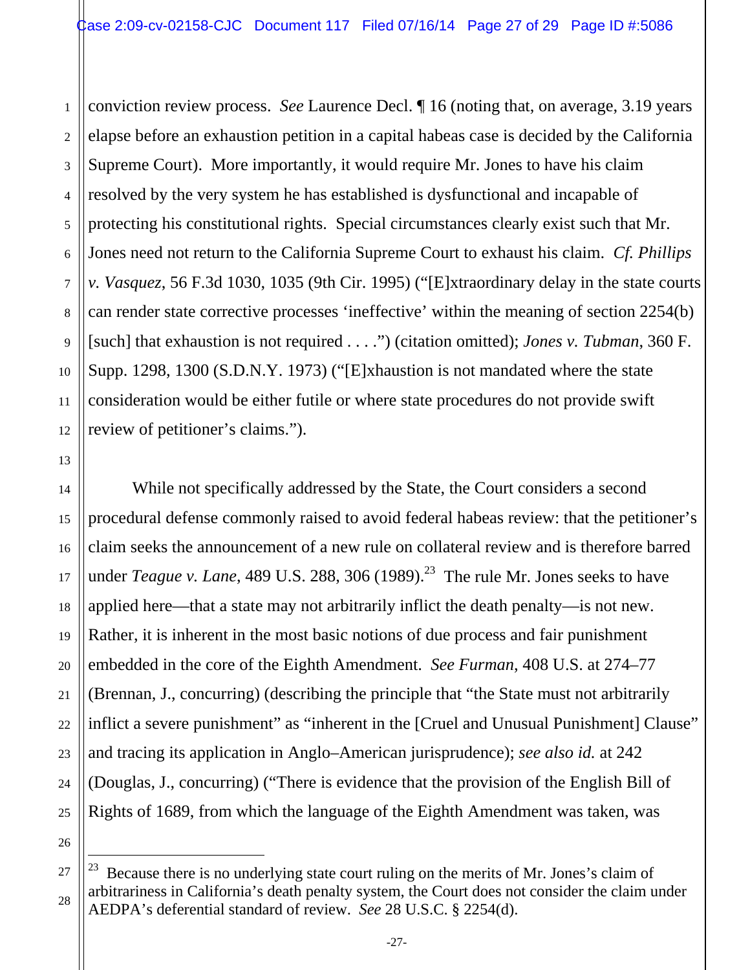1 2 3 4 5 6 7 8 9 10 11 12 conviction review process. *See* Laurence Decl. ¶ 16 (noting that, on average, 3.19 years elapse before an exhaustion petition in a capital habeas case is decided by the California Supreme Court). More importantly, it would require Mr. Jones to have his claim resolved by the very system he has established is dysfunctional and incapable of protecting his constitutional rights. Special circumstances clearly exist such that Mr. Jones need not return to the California Supreme Court to exhaust his claim. *Cf. Phillips v. Vasquez*, 56 F.3d 1030, 1035 (9th Cir. 1995) ("[E]xtraordinary delay in the state courts can render state corrective processes 'ineffective' within the meaning of section 2254(b) [such] that exhaustion is not required . . . .") (citation omitted); *Jones v. Tubman*, 360 F. Supp. 1298, 1300 (S.D.N.Y. 1973) ("[E]xhaustion is not mandated where the state consideration would be either futile or where state procedures do not provide swift review of petitioner's claims.").

While not specifically addressed by the State, the Court considers a second procedural defense commonly raised to avoid federal habeas review: that the petitioner's claim seeks the announcement of a new rule on collateral review and is therefore barred under *Teague v. Lane*, 489 U.S. 288, 306 (1989).<sup>23</sup> The rule Mr. Jones seeks to have applied here—that a state may not arbitrarily inflict the death penalty—is not new. Rather, it is inherent in the most basic notions of due process and fair punishment embedded in the core of the Eighth Amendment. *See Furman*, 408 U.S. at 274–77 (Brennan, J., concurring) (describing the principle that "the State must not arbitrarily inflict a severe punishment" as "inherent in the [Cruel and Unusual Punishment] Clause" and tracing its application in Anglo–American jurisprudence); *see also id.* at 242 (Douglas, J., concurring) ("There is evidence that the provision of the English Bill of Rights of 1689, from which the language of the Eighth Amendment was taken, was

 $\overline{a}$ 

28

13

14

15

16

17

18

19

20

21

22

23

24

<sup>26</sup> 27

<sup>&</sup>lt;sup>23</sup> Because there is no underlying state court ruling on the merits of Mr. Jones's claim of arbitrariness in California's death penalty system, the Court does not consider the claim under AEDPA's deferential standard of review. *See* 28 U.S.C. § 2254(d).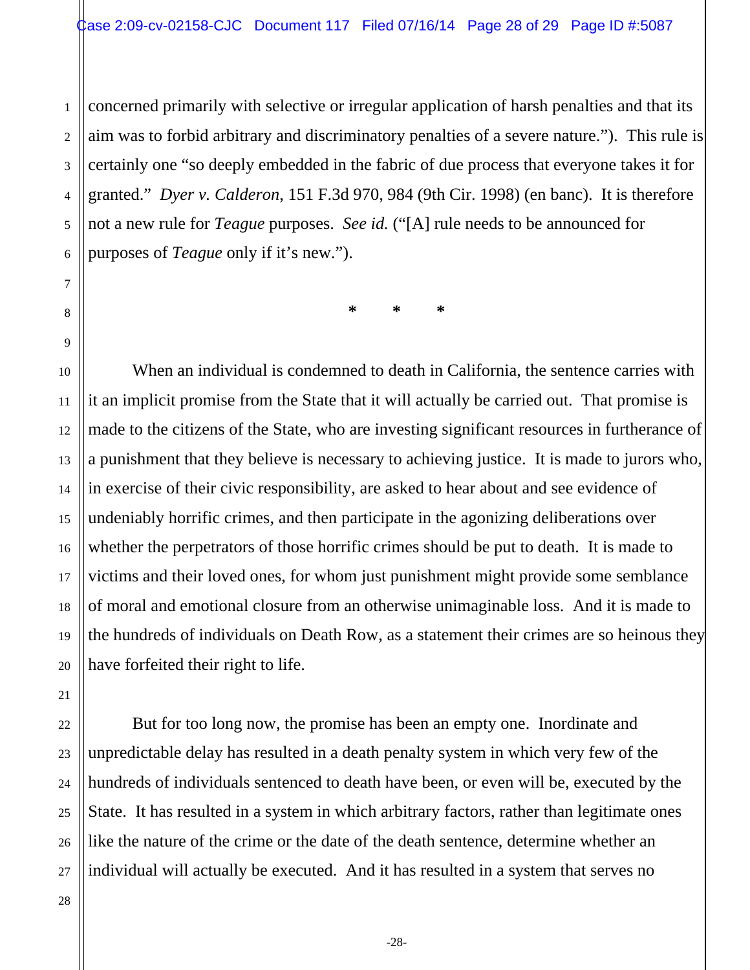concerned primarily with selective or irregular application of harsh penalties and that its aim was to forbid arbitrary and discriminatory penalties of a severe nature."). This rule is certainly one "so deeply embedded in the fabric of due process that everyone takes it for granted." *Dyer v. Calderon*, 151 F.3d 970, 984 (9th Cir. 1998) (en banc). It is therefore not a new rule for *Teague* purposes. *See id.* ("[A] rule needs to be announced for purposes of *Teague* only if it's new.").

**\* \* \*** 

When an individual is condemned to death in California, the sentence carries with it an implicit promise from the State that it will actually be carried out. That promise is made to the citizens of the State, who are investing significant resources in furtherance of a punishment that they believe is necessary to achieving justice. It is made to jurors who, in exercise of their civic responsibility, are asked to hear about and see evidence of undeniably horrific crimes, and then participate in the agonizing deliberations over whether the perpetrators of those horrific crimes should be put to death. It is made to victims and their loved ones, for whom just punishment might provide some semblance of moral and emotional closure from an otherwise unimaginable loss. And it is made to the hundreds of individuals on Death Row, as a statement their crimes are so heinous they have forfeited their right to life.

But for too long now, the promise has been an empty one. Inordinate and unpredictable delay has resulted in a death penalty system in which very few of the hundreds of individuals sentenced to death have been, or even will be, executed by the State. It has resulted in a system in which arbitrary factors, rather than legitimate ones like the nature of the crime or the date of the death sentence, determine whether an individual will actually be executed. And it has resulted in a system that serves no

1

2

3

4

5

6

7

8

9

10

11

12

13

14

15

16

17

18

19

20

21

22

23

24

25

26